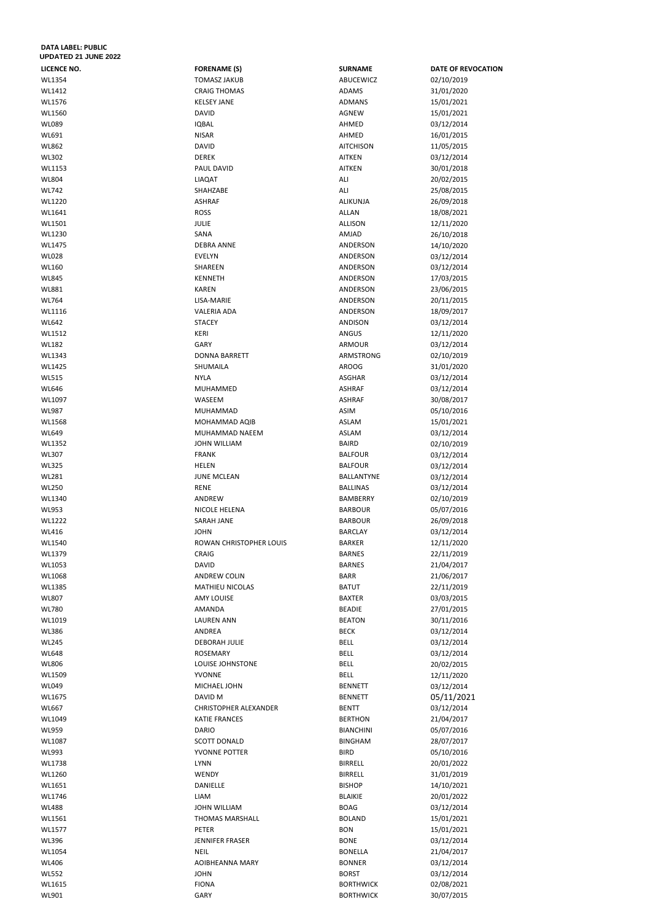## **DATA LABEL: PUBLIC UPDATED 21 JUNE 2022**

| LICENCE NO.  | <b>FORENAME (S)</b>          | <b>SURNAME</b>                       | <b>DATE OF REVOCATION</b> |
|--------------|------------------------------|--------------------------------------|---------------------------|
| WL1354       | <b>TOMASZ JAKUB</b>          | ABUCEWICZ                            | 02/10/2019                |
| WL1412       | <b>CRAIG THOMAS</b>          | ADAMS                                | 31/01/2020                |
| WL1576       | <b>KELSEY JANE</b>           | ADMANS                               | 15/01/2021                |
| WL1560       | <b>DAVID</b>                 | AGNEW                                | 15/01/2021                |
| <b>WL089</b> | <b>IQBAL</b>                 | AHMED                                | 03/12/2014                |
| WL691        | <b>NISAR</b>                 | AHMED                                | 16/01/2015                |
| <b>WL862</b> | <b>DAVID</b>                 | <b>AITCHISON</b>                     | 11/05/2015                |
| <b>WL302</b> | <b>DEREK</b>                 | <b>AITKEN</b>                        | 03/12/2014                |
| WL1153       | PAUL DAVID                   | <b>AITKEN</b>                        | 30/01/2018                |
| <b>WL804</b> | LIAQAT                       | ALI                                  | 20/02/2015                |
| <b>WL742</b> | SHAHZABE                     | ALI                                  | 25/08/2015                |
| WL1220       | <b>ASHRAF</b>                | ALIKUNJA                             |                           |
|              |                              |                                      | 26/09/2018                |
| WL1641       | <b>ROSS</b>                  | <b>ALLAN</b>                         | 18/08/2021                |
| WL1501       | <b>JULIE</b>                 | <b>ALLISON</b>                       | 12/11/2020                |
| WL1230       | SANA                         | AMJAD                                | 26/10/2018                |
| WL1475       | <b>DEBRA ANNE</b>            | ANDERSON                             | 14/10/2020                |
| <b>WL028</b> | <b>EVELYN</b>                | ANDERSON                             | 03/12/2014                |
| <b>WL160</b> | SHAREEN                      | ANDERSON                             | 03/12/2014                |
| <b>WL845</b> | <b>KENNETH</b>               | ANDERSON                             | 17/03/2015                |
| WL881        | <b>KAREN</b>                 | ANDERSON                             | 23/06/2015                |
| <b>WL764</b> | LISA-MARIE                   | ANDERSON                             | 20/11/2015                |
| WL1116       | <b>VALERIA ADA</b>           | ANDERSON                             | 18/09/2017                |
| <b>WL642</b> | <b>STACEY</b>                | <b>ANDISON</b>                       | 03/12/2014                |
| WL1512       | KERI                         | ANGUS                                | 12/11/2020                |
| <b>WL182</b> | GARY                         | ARMOUR                               | 03/12/2014                |
| WL1343       | <b>DONNA BARRETT</b>         | ARMSTRONG                            | 02/10/2019                |
| WL1425       | SHUMAILA                     | <b>AROOG</b>                         | 31/01/2020                |
| <b>WL515</b> | <b>NYLA</b>                  | <b>ASGHAR</b>                        | 03/12/2014                |
| WL646        |                              |                                      |                           |
|              | MUHAMMED                     | <b>ASHRAF</b>                        | 03/12/2014                |
| WL1097       | WASEEM                       | <b>ASHRAF</b>                        | 30/08/2017                |
| WL987        | MUHAMMAD                     | ASIM                                 | 05/10/2016                |
| WL1568       | MOHAMMAD AQIB                | <b>ASLAM</b>                         | 15/01/2021                |
| <b>WL649</b> | MUHAMMAD NAEEM               | <b>ASLAM</b>                         | 03/12/2014                |
| WL1352       | <b>JOHN WILLIAM</b>          | <b>BAIRD</b>                         | 02/10/2019                |
| <b>WL307</b> | <b>FRANK</b>                 | <b>BALFOUR</b>                       | 03/12/2014                |
| <b>WL325</b> | <b>HELEN</b>                 | <b>BALFOUR</b>                       | 03/12/2014                |
| WL281        | <b>JUNE MCLEAN</b>           | BALLANTYNE                           | 03/12/2014                |
| <b>WL250</b> | <b>RENE</b>                  | <b>BALLINAS</b>                      | 03/12/2014                |
| WL1340       | ANDREW                       | BAMBERRY                             | 02/10/2019                |
| <b>WL953</b> | NICOLE HELENA                | <b>BARBOUR</b>                       | 05/07/2016                |
| WL1222       | SARAH JANE                   | <b>BARBOUR</b>                       | 26/09/2018                |
| WL416        | <b>JOHN</b>                  | <b>BARCLAY</b>                       | 03/12/2014                |
| WL1540       | ROWAN CHRISTOPHER LOUIS      | <b>BARKER</b>                        | 12/11/2020                |
| WL1379       | CRAIG                        | <b>BARNES</b>                        | 22/11/2019                |
| WL1053       | <b>DAVID</b>                 | <b>BARNES</b>                        | 21/04/2017                |
| WL1068       | <b>ANDREW COLIN</b>          | <b>BARR</b>                          | 21/06/2017                |
| WL1385       | <b>MATHIEU NICOLAS</b>       | <b>BATUT</b>                         | 22/11/2019                |
| <b>WL807</b> | <b>AMY LOUISE</b>            | <b>BAXTER</b>                        | 03/03/2015                |
| <b>WL780</b> | AMANDA                       | <b>BEADIE</b>                        | 27/01/2015                |
| WL1019       | <b>LAUREN ANN</b>            | <b>BEATON</b>                        | 30/11/2016                |
| WL386        | ANDREA                       | <b>BECK</b>                          |                           |
| <b>WL245</b> | <b>DEBORAH JULIE</b>         | <b>BELL</b>                          | 03/12/2014                |
|              |                              |                                      | 03/12/2014                |
| <b>WL648</b> | <b>ROSEMARY</b>              | <b>BELL</b>                          | 03/12/2014                |
| <b>WL806</b> | LOUISE JOHNSTONE             | <b>BELL</b>                          | 20/02/2015                |
| WL1509       | YVONNE                       | <b>BELL</b>                          | 12/11/2020                |
| <b>WL049</b> | MICHAEL JOHN                 | <b>BENNETT</b>                       | 03/12/2014                |
| WL1675       | DAVID M                      | <b>BENNETT</b>                       | 05/11/2021                |
| <b>WL667</b> | <b>CHRISTOPHER ALEXANDER</b> | <b>BENTT</b>                         | 03/12/2014                |
| WL1049       | <b>KATIE FRANCES</b>         | <b>BERTHON</b>                       | 21/04/2017                |
| <b>WL959</b> | <b>DARIO</b>                 | <b>BIANCHINI</b>                     | 05/07/2016                |
| WL1087       | <b>SCOTT DONALD</b>          | <b>BINGHAM</b>                       | 28/07/2017                |
| WL993        | YVONNE POTTER                | <b>BIRD</b>                          | 05/10/2016                |
| WL1738       | <b>LYNN</b>                  | <b>BIRRELL</b>                       | 20/01/2022                |
| WL1260       | WENDY                        | <b>BIRRELL</b>                       | 31/01/2019                |
| WL1651       | DANIELLE                     | <b>BISHOP</b>                        | 14/10/2021                |
| WL1746       | LIAM                         | <b>BLAIKIE</b>                       | 20/01/2022                |
| <b>WL488</b> | <b>JOHN WILLIAM</b>          | <b>BOAG</b>                          | 03/12/2014                |
| WL1561       | THOMAS MARSHALL              | <b>BOLAND</b>                        | 15/01/2021                |
| WL1577       | PETER                        | <b>BON</b>                           | 15/01/2021                |
| WL396        | JENNIFER FRASER              | <b>BONE</b>                          | 03/12/2014                |
| WL1054       | <b>NEIL</b>                  | <b>BONELLA</b>                       | 21/04/2017                |
| WL406        | <b>AOIBHEANNA MARY</b>       | <b>BONNER</b>                        | 03/12/2014                |
| <b>WL552</b> | <b>JOHN</b>                  | <b>BORST</b>                         | 03/12/2014                |
| WL1615       | <b>FIONA</b>                 |                                      |                           |
| WL901        | GARY                         | <b>BORTHWICK</b><br><b>BORTHWICK</b> | 02/08/2021<br>30/07/2015  |
|              |                              |                                      |                           |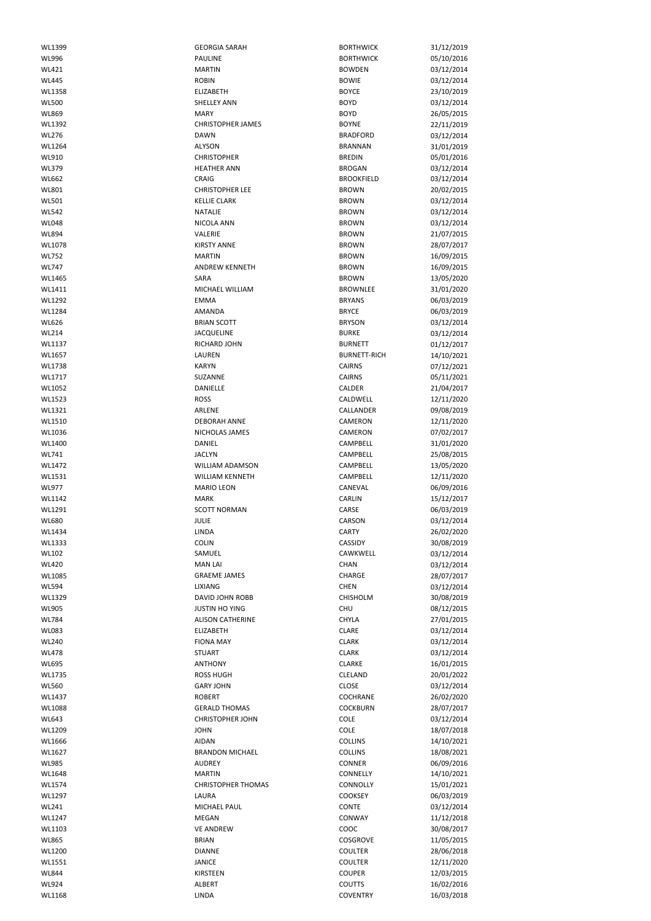| WL1399       | <b>GEORGIA SARAH</b>      | <b>BORTHWICK</b>    | 31/12/2019 |
|--------------|---------------------------|---------------------|------------|
|              |                           |                     |            |
| WL996        | PAULINE                   | <b>BORTHWICK</b>    | 05/10/2016 |
| WL421        | <b>MARTIN</b>             | <b>BOWDEN</b>       | 03/12/2014 |
| <b>WL445</b> | <b>ROBIN</b>              | <b>BOWIE</b>        | 03/12/2014 |
| WL1358       | <b>ELIZABETH</b>          | <b>BOYCE</b>        | 23/10/2019 |
|              |                           |                     |            |
| <b>WL500</b> | <b>SHELLEY ANN</b>        | <b>BOYD</b>         | 03/12/2014 |
| <b>WL869</b> | <b>MARY</b>               | <b>BOYD</b>         | 26/05/2015 |
| WL1392       | <b>CHRISTOPHER JAMES</b>  | <b>BOYNE</b>        | 22/11/2019 |
| <b>WL276</b> | <b>DAWN</b>               | <b>BRADFORD</b>     | 03/12/2014 |
|              |                           |                     |            |
| WL1264       | ALYSON                    | <b>BRANNAN</b>      | 31/01/2019 |
| WL910        | <b>CHRISTOPHER</b>        | <b>BREDIN</b>       | 05/01/2016 |
| WL379        | <b>HEATHER ANN</b>        | <b>BROGAN</b>       | 03/12/2014 |
| <b>WL662</b> | CRAIG                     | <b>BROOKFIELD</b>   | 03/12/2014 |
| WL801        | <b>CHRISTOPHER LEE</b>    | <b>BROWN</b>        | 20/02/2015 |
|              |                           |                     |            |
| WL501        | <b>KELLIE CLARK</b>       | <b>BROWN</b>        | 03/12/2014 |
| <b>WL542</b> | <b>NATALIE</b>            | <b>BROWN</b>        | 03/12/2014 |
| <b>WL048</b> | NICOLA ANN                | <b>BROWN</b>        | 03/12/2014 |
| <b>WL894</b> | VALERIE                   | <b>BROWN</b>        | 21/07/2015 |
| WL1078       | <b>KIRSTY ANNE</b>        | <b>BROWN</b>        |            |
|              |                           |                     | 28/07/2017 |
| <b>WL752</b> | <b>MARTIN</b>             | <b>BROWN</b>        | 16/09/2015 |
| <b>WL747</b> | <b>ANDREW KENNETH</b>     | <b>BROWN</b>        | 16/09/2015 |
| WL1465       | SARA                      | <b>BROWN</b>        | 13/05/2020 |
| WL1411       | MICHAEL WILLIAM           | <b>BROWNLEE</b>     | 31/01/2020 |
|              |                           |                     |            |
| WL1292       | <b>EMMA</b>               | <b>BRYANS</b>       | 06/03/2019 |
| WL1284       | AMANDA                    | <b>BRYCE</b>        | 06/03/2019 |
| WL626        | <b>BRIAN SCOTT</b>        | <b>BRYSON</b>       | 03/12/2014 |
| <b>WL214</b> | <b>JACQUELINE</b>         | <b>BURKE</b>        | 03/12/2014 |
|              |                           |                     |            |
| WL1137       | RICHARD JOHN              | <b>BURNETT</b>      | 01/12/2017 |
| WL1657       | LAUREN                    | <b>BURNETT-RICH</b> | 14/10/2021 |
| WL1738       | <b>KARYN</b>              | <b>CAIRNS</b>       | 07/12/2021 |
| WL1717       | SUZANNE                   | <b>CAIRNS</b>       | 05/11/2021 |
|              |                           |                     |            |
| WL1052       | DANIELLE                  | CALDER              | 21/04/2017 |
| WL1523       | <b>ROSS</b>               | CALDWELL            | 12/11/2020 |
| WL1321       | ARLENE                    | <b>CALLANDER</b>    | 09/08/2019 |
| WL1510       | <b>DEBORAH ANNE</b>       | CAMERON             | 12/11/2020 |
|              |                           |                     |            |
| WL1036       | NICHOLAS JAMES            | CAMERON             | 07/02/2017 |
| WL1400       | DANIEL                    | CAMPBELL            | 31/01/2020 |
| WL741        | <b>JACLYN</b>             | CAMPBELL            | 25/08/2015 |
| WL1472       | WILLIAM ADAMSON           | CAMPBELL            | 13/05/2020 |
|              |                           |                     |            |
| WL1531       | <b>WILLIAM KENNETH</b>    | CAMPBELL            | 12/11/2020 |
| <b>WL977</b> | <b>MARIO LEON</b>         | CANEVAL             | 06/09/2016 |
| WL1142       | <b>MARK</b>               | CARLIN              | 15/12/2017 |
| WL1291       | <b>SCOTT NORMAN</b>       | CARSE               | 06/03/2019 |
| <b>WL680</b> | <b>JULIE</b>              | <b>CARSON</b>       |            |
|              |                           |                     | 03/12/2014 |
|              |                           | <b>CARTY</b>        |            |
| WL1434       | LINDA                     |                     | 26/02/2020 |
| WL1333       | <b>COLIN</b>              | CASSIDY             | 30/08/2019 |
|              |                           |                     |            |
| <b>WL102</b> | SAMUEL                    | CAWKWELL            | 03/12/2014 |
| <b>WL420</b> | <b>MAN LAI</b>            | CHAN                | 03/12/2014 |
| WL1085       | <b>GRAEME JAMES</b>       | CHARGE              | 28/07/2017 |
| <b>WL594</b> | <b>LIXIANG</b>            | <b>CHEN</b>         | 03/12/2014 |
| WL1329       | DAVID JOHN ROBB           | CHISHOLM            | 30/08/2019 |
|              |                           |                     |            |
| <b>WL905</b> | <b>JUSTIN HO YING</b>     | <b>CHU</b>          | 08/12/2015 |
| <b>WL784</b> | <b>ALISON CATHERINE</b>   | <b>CHYLA</b>        | 27/01/2015 |
| <b>WL083</b> | <b>ELIZABETH</b>          | <b>CLARE</b>        | 03/12/2014 |
| <b>WL240</b> | <b>FIONA MAY</b>          | <b>CLARK</b>        | 03/12/2014 |
| <b>WL478</b> | <b>STUART</b>             | <b>CLARK</b>        | 03/12/2014 |
|              |                           |                     |            |
| WL695        | <b>ANTHONY</b>            | <b>CLARKE</b>       | 16/01/2015 |
| WL1735       | <b>ROSS HUGH</b>          | CLELAND             | 20/01/2022 |
| <b>WL560</b> | <b>GARY JOHN</b>          | <b>CLOSE</b>        | 03/12/2014 |
| WL1437       | <b>ROBERT</b>             | COCHRANE            | 26/02/2020 |
| WL1088       | <b>GERALD THOMAS</b>      | <b>COCKBURN</b>     | 28/07/2017 |
|              |                           |                     |            |
| <b>WL643</b> | <b>CHRISTOPHER JOHN</b>   | COLE                | 03/12/2014 |
| WL1209       | <b>JOHN</b>               | COLE                | 18/07/2018 |
| WL1666       | <b>AIDAN</b>              | <b>COLLINS</b>      | 14/10/2021 |
| WL1627       | <b>BRANDON MICHAEL</b>    | <b>COLLINS</b>      | 18/08/2021 |
|              |                           |                     |            |
| <b>WL985</b> | <b>AUDREY</b>             | <b>CONNER</b>       | 06/09/2016 |
| WL1648       | <b>MARTIN</b>             | CONNELLY            | 14/10/2021 |
| WL1574       | <b>CHRISTOPHER THOMAS</b> | CONNOLLY            | 15/01/2021 |
| WL1297       | LAURA                     | <b>COOKSEY</b>      | 06/03/2019 |
|              |                           |                     |            |
| WL241        | MICHAEL PAUL              | CONTE               | 03/12/2014 |
| WL1247       | MEGAN                     | CONWAY              | 11/12/2018 |
| WL1103       | <b>VE ANDREW</b>          | COOC                | 30/08/2017 |
| <b>WL865</b> | <b>BRIAN</b>              | COSGROVE            | 11/05/2015 |
|              |                           |                     |            |
| WL1200       | <b>DIANNE</b>             | <b>COULTER</b>      | 28/06/2018 |
| WL1551       | JANICE                    | <b>COULTER</b>      | 12/11/2020 |
| <b>WL844</b> | KIRSTEEN                  | <b>COUPER</b>       | 12/03/2015 |
| <b>WL924</b> | ALBERT                    | <b>COUTTS</b>       | 16/02/2016 |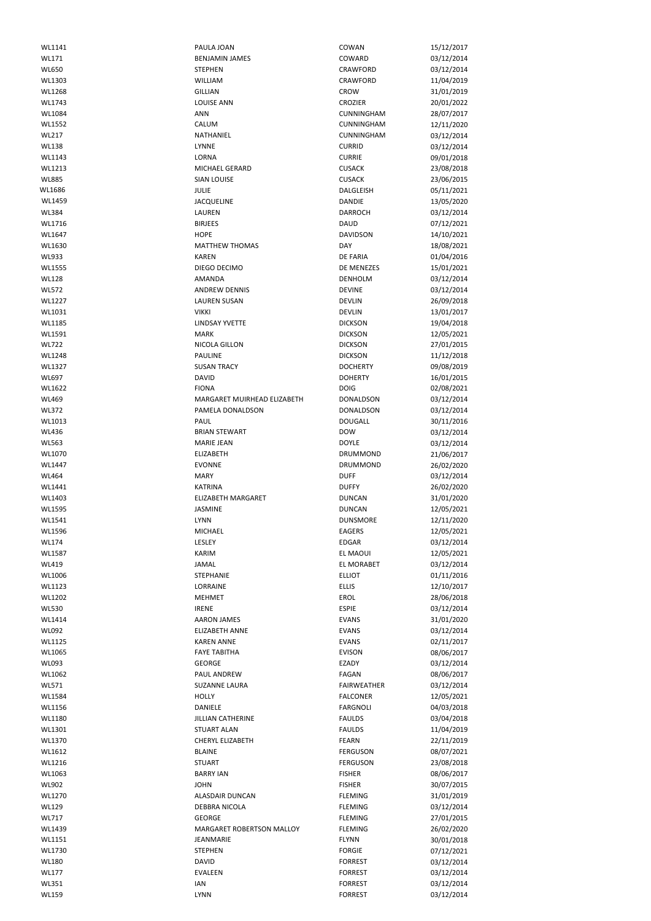| WL1141                | PAULA JOAN                       | COWAN                            | 15/12/2017               |
|-----------------------|----------------------------------|----------------------------------|--------------------------|
| WL171                 | <b>BENJAMIN JAMES</b>            | COWARD                           | 03/12/2014               |
|                       |                                  |                                  |                          |
| <b>WL650</b>          | <b>STEPHEN</b>                   | CRAWFORD                         | 03/12/2014               |
| WL1303                | WILLIAM                          | CRAWFORD                         | 11/04/2019               |
| WL1268                | <b>GILLIAN</b>                   | CROW                             | 31/01/2019               |
| WL1743                | <b>LOUISE ANN</b>                | <b>CROZIER</b>                   | 20/01/2022               |
| WL1084                | <b>ANN</b>                       | CUNNINGHAM                       | 28/07/2017               |
| WL1552                | CALUM                            | CUNNINGHAM                       | 12/11/2020               |
| <b>WL217</b>          | NATHANIEL                        | CUNNINGHAM                       | 03/12/2014               |
| <b>WL138</b>          | LYNNE                            | <b>CURRID</b>                    | 03/12/2014               |
| WL1143                | LORNA                            | <b>CURRIE</b>                    | 09/01/2018               |
| WL1213                | MICHAEL GERARD                   | <b>CUSACK</b>                    | 23/08/2018               |
| <b>WL885</b>          | <b>SIAN LOUISE</b>               | <b>CUSACK</b>                    | 23/06/2015               |
| WL1686                |                                  |                                  |                          |
|                       | <b>JULIE</b>                     | DALGLEISH                        | 05/11/2021               |
| WL1459                | <b>JACQUELINE</b>                | DANDIE                           | 13/05/2020               |
| <b>WL384</b>          | LAUREN                           | <b>DARROCH</b>                   | 03/12/2014               |
| WL1716                | <b>BIRJEES</b>                   | <b>DAUD</b>                      | 07/12/2021               |
| WL1647                | <b>HOPE</b>                      | <b>DAVIDSON</b>                  | 14/10/2021               |
| WL1630                | <b>MATTHEW THOMAS</b>            | <b>DAY</b>                       | 18/08/2021               |
| WL933                 | <b>KAREN</b>                     | <b>DE FARIA</b>                  | 01/04/2016               |
| WL1555                | DIEGO DECIMO                     | DE MENEZES                       | 15/01/2021               |
| <b>WL128</b>          | <b>AMANDA</b>                    | <b>DENHOLM</b>                   | 03/12/2014               |
| <b>WL572</b>          | <b>ANDREW DENNIS</b>             | <b>DEVINE</b>                    | 03/12/2014               |
| WL1227                | <b>LAUREN SUSAN</b>              | <b>DEVLIN</b>                    |                          |
|                       |                                  |                                  | 26/09/2018               |
| WL1031                | <b>VIKKI</b>                     | <b>DEVLIN</b>                    | 13/01/2017               |
| WL1185                | LINDSAY YVETTE                   | <b>DICKSON</b>                   | 19/04/2018               |
| WL1591                | <b>MARK</b>                      | <b>DICKSON</b>                   | 12/05/2021               |
| <b>WL722</b>          | NICOLA GILLON                    | <b>DICKSON</b>                   | 27/01/2015               |
| WL1248                | <b>PAULINE</b>                   | <b>DICKSON</b>                   | 11/12/2018               |
| WL1327                | <b>SUSAN TRACY</b>               | <b>DOCHERTY</b>                  | 09/08/2019               |
| WL697                 | <b>DAVID</b>                     | <b>DOHERTY</b>                   | 16/01/2015               |
| WL1622                | <b>FIONA</b>                     | <b>DOIG</b>                      | 02/08/2021               |
| <b>WL469</b>          | MARGARET MUIRHEAD ELIZABETH      | <b>DONALDSON</b>                 | 03/12/2014               |
| <b>WL372</b>          | PAMELA DONALDSON                 | <b>DONALDSON</b>                 | 03/12/2014               |
| WL1013                | PAUL                             | <b>DOUGALL</b>                   | 30/11/2016               |
|                       |                                  |                                  |                          |
| <b>WL436</b>          | <b>BRIAN STEWART</b>             | <b>DOW</b>                       | 03/12/2014               |
| <b>WL563</b>          | <b>MARIE JEAN</b>                | <b>DOYLE</b>                     | 03/12/2014               |
| WL1070                | <b>ELIZABETH</b>                 | <b>DRUMMOND</b>                  | 21/06/2017               |
| WL1447                | <b>EVONNE</b>                    | DRUMMOND                         | 26/02/2020               |
| <b>WL464</b>          | <b>MARY</b>                      | <b>DUFF</b>                      | 03/12/2014               |
| WL1441                | <b>KATRINA</b>                   | <b>DUFFY</b>                     | 26/02/2020               |
| WL1403                | <b>ELIZABETH MARGARET</b>        | <b>DUNCAN</b>                    | 31/01/2020               |
| WL1595                | JASMINE                          | <b>DUNCAN</b>                    | 12/05/2021               |
| WL1541                | LYNN                             | <b>DUNSMORE</b>                  | 12/11/2020               |
| WL1596                | <b>MICHAEL</b>                   | <b>EAGERS</b>                    | 12/05/2021               |
| <b>WL174</b>          | LESLEY                           | <b>EDGAR</b>                     |                          |
|                       |                                  |                                  | 03/12/2014               |
| WL1587                | <b>KARIM</b>                     | EL MAOUI                         | 12/05/2021               |
| <b>WL419</b>          | <b>JAMAL</b>                     | EL MORABET                       | 03/12/2014               |
| WL1006                | STEPHANIE                        | <b>ELLIOT</b>                    | 01/11/2016               |
| WL1123                | LORRAINE                         | <b>ELLIS</b>                     | 12/10/2017               |
| WL1202                | <b>MEHMET</b>                    | EROL                             | 28/06/2018               |
| <b>WL530</b>          | <b>IRENE</b>                     | <b>ESPIE</b>                     | 03/12/2014               |
| WL1414                | <b>AARON JAMES</b>               | <b>EVANS</b>                     | 31/01/2020               |
| <b>WL092</b>          | <b>ELIZABETH ANNE</b>            | <b>EVANS</b>                     | 03/12/2014               |
| WL1125                | <b>KAREN ANNE</b>                | <b>EVANS</b>                     | 02/11/2017               |
| WL1065                | <b>FAYE TABITHA</b>              | <b>EVISON</b>                    | 08/06/2017               |
| <b>WL093</b>          | <b>GEORGE</b>                    | EZADY                            | 03/12/2014               |
|                       |                                  |                                  |                          |
| WL1062                | PAUL ANDREW                      | <b>FAGAN</b>                     | 08/06/2017               |
| WL571                 | <b>SUZANNE LAURA</b>             | <b>FAIRWEATHER</b>               | 03/12/2014               |
| <b>WL1584</b>         | <b>HOLLY</b>                     | <b>FALCONER</b>                  | 12/05/2021               |
| WL1156                | DANIELE                          | <b>FARGNOLI</b>                  | 04/03/2018               |
| WL1180                | <b>JILLIAN CATHERINE</b>         | <b>FAULDS</b>                    | 03/04/2018               |
| WL1301                | <b>STUART ALAN</b>               | <b>FAULDS</b>                    | 11/04/2019               |
| WL1370                | <b>CHERYL ELIZABETH</b>          | <b>FEARN</b>                     | 22/11/2019               |
| WL1612                | <b>BLAINE</b>                    | <b>FERGUSON</b>                  | 08/07/2021               |
| WL1216                | <b>STUART</b>                    | <b>FERGUSON</b>                  | 23/08/2018               |
| WL1063                | <b>BARRY IAN</b>                 | <b>FISHER</b>                    | 08/06/2017               |
|                       |                                  |                                  |                          |
| WL902                 | <b>JOHN</b>                      | <b>FISHER</b>                    | 30/07/2015               |
| WL1270                | <b>ALASDAIR DUNCAN</b>           | <b>FLEMING</b>                   | 31/01/2019               |
| <b>WL129</b>          | DEBBRA NICOLA                    | <b>FLEMING</b>                   | 03/12/2014               |
| WL717                 | <b>GEORGE</b>                    | <b>FLEMING</b>                   | 27/01/2015               |
| WL1439                | <b>MARGARET ROBERTSON MALLOY</b> | <b>FLEMING</b>                   | 26/02/2020               |
| WL1151                | JEANMARIE                        | <b>FLYNN</b>                     | 30/01/2018               |
| WL1730                | <b>STEPHEN</b>                   | <b>FORGIE</b>                    | 07/12/2021               |
| WL180                 | <b>DAVID</b>                     | <b>FORREST</b>                   | 03/12/2014               |
| <b>WL177</b>          | EVALEEN                          | <b>FORREST</b>                   | 03/12/2014               |
|                       |                                  |                                  |                          |
|                       |                                  |                                  |                          |
| WL351<br><b>WL159</b> | <b>IAN</b><br><b>LYNN</b>        | <b>FORREST</b><br><b>FORREST</b> | 03/12/2014<br>03/12/2014 |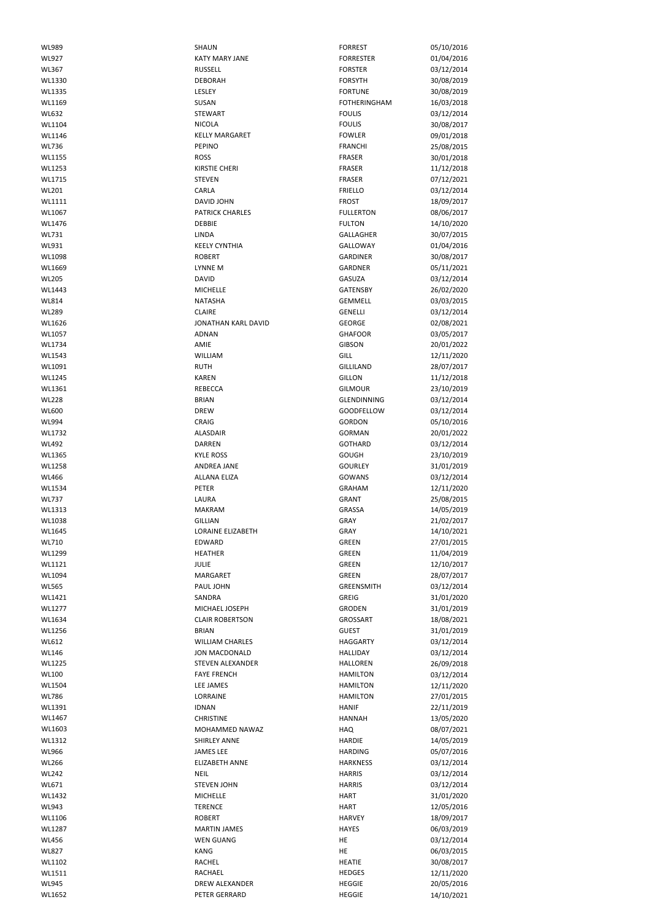| WL989        | SHAUN                  | <b>FORREST</b>      | 05/10/2016 |
|--------------|------------------------|---------------------|------------|
| <b>WL927</b> | <b>KATY MARY JANE</b>  | <b>FORRESTER</b>    | 01/04/2016 |
|              |                        |                     |            |
| WL367        | <b>RUSSELL</b>         | <b>FORSTER</b>      | 03/12/2014 |
| WL1330       | <b>DEBORAH</b>         | <b>FORSYTH</b>      | 30/08/2019 |
| WL1335       | LESLEY                 | <b>FORTUNE</b>      | 30/08/2019 |
| WL1169       | SUSAN                  | <b>FOTHERINGHAM</b> | 16/03/2018 |
| <b>WL632</b> | <b>STEWART</b>         | <b>FOULIS</b>       | 03/12/2014 |
| WL1104       | <b>NICOLA</b>          | <b>FOULIS</b>       | 30/08/2017 |
| WL1146       | <b>KELLY MARGARET</b>  | <b>FOWLER</b>       | 09/01/2018 |
| <b>WL736</b> | <b>PEPINO</b>          | <b>FRANCHI</b>      | 25/08/2015 |
| WL1155       | <b>ROSS</b>            | <b>FRASER</b>       | 30/01/2018 |
| WL1253       | <b>KIRSTIE CHERI</b>   | <b>FRASER</b>       | 11/12/2018 |
| WL1715       | <b>STEVEN</b>          | <b>FRASER</b>       |            |
|              |                        |                     | 07/12/2021 |
| WL201        | CARLA                  | <b>FRIELLO</b>      | 03/12/2014 |
| WL1111       | DAVID JOHN             | <b>FROST</b>        | 18/09/2017 |
| WL1067       | <b>PATRICK CHARLES</b> | <b>FULLERTON</b>    | 08/06/2017 |
| WL1476       | <b>DEBBIE</b>          | <b>FULTON</b>       | 14/10/2020 |
| WL731        | <b>LINDA</b>           | GALLAGHER           | 30/07/2015 |
| WL931        | <b>KEELY CYNTHIA</b>   | GALLOWAY            | 01/04/2016 |
| WL1098       | <b>ROBERT</b>          | <b>GARDINER</b>     | 30/08/2017 |
| WL1669       | LYNNE M                | GARDNER             | 05/11/2021 |
| <b>WL205</b> | <b>DAVID</b>           | GASUZA              | 03/12/2014 |
| WL1443       | <b>MICHELLE</b>        | <b>GATENSBY</b>     | 26/02/2020 |
| <b>WL814</b> | <b>NATASHA</b>         | <b>GEMMELL</b>      | 03/03/2015 |
| <b>WL289</b> | <b>CLAIRE</b>          | GENELLI             | 03/12/2014 |
| WL1626       | JONATHAN KARL DAVID    | <b>GEORGE</b>       | 02/08/2021 |
|              |                        |                     |            |
| WL1057       | <b>ADNAN</b>           | <b>GHAFOOR</b>      | 03/05/2017 |
| WL1734       | AMIE                   | <b>GIBSON</b>       | 20/01/2022 |
| WL1543       | WILLIAM                | GILL                | 12/11/2020 |
| WL1091       | <b>RUTH</b>            | <b>GILLILAND</b>    | 28/07/2017 |
| WL1245       | <b>KAREN</b>           | <b>GILLON</b>       | 11/12/2018 |
| WL1361       | <b>REBECCA</b>         | <b>GILMOUR</b>      | 23/10/2019 |
| <b>WL228</b> | <b>BRIAN</b>           | GLENDINNING         | 03/12/2014 |
| <b>WL600</b> | <b>DREW</b>            | GOODFELLOW          | 03/12/2014 |
| WL994        | <b>CRAIG</b>           | <b>GORDON</b>       | 05/10/2016 |
| WL1732       | <b>ALASDAIR</b>        | <b>GORMAN</b>       | 20/01/2022 |
| <b>WL492</b> | <b>DARREN</b>          | <b>GOTHARD</b>      | 03/12/2014 |
| WL1365       | <b>KYLE ROSS</b>       | <b>GOUGH</b>        | 23/10/2019 |
| WL1258       | <b>ANDREA JANE</b>     | <b>GOURLEY</b>      | 31/01/2019 |
| <b>WL466</b> | <b>ALLANA ELIZA</b>    | GOWANS              | 03/12/2014 |
|              |                        |                     |            |
| WL1534       | <b>PETER</b>           | <b>GRAHAM</b>       | 12/11/2020 |
| <b>WL737</b> | LAURA                  | <b>GRANT</b>        | 25/08/2015 |
| WL1313       | <b>MAKRAM</b>          | GRASSA              | 14/05/2019 |
| WL1038       | <b>GILLIAN</b>         | GRAY                | 21/02/2017 |
| WL1645       | LORAINE ELIZABETH      | GRAY                | 14/10/2021 |
| WL710        | EDWARD                 | GREEN               | 27/01/2015 |
| WL1299       | <b>HEATHER</b>         | <b>GREEN</b>        | 11/04/2019 |
| WL1121       | <b>JULIE</b>           | <b>GREEN</b>        | 12/10/2017 |
| WL1094       | <b>MARGARET</b>        | <b>GREEN</b>        | 28/07/2017 |
| <b>WL565</b> | PAUL JOHN              | <b>GREENSMITH</b>   | 03/12/2014 |
| WL1421       | SANDRA                 | <b>GREIG</b>        | 31/01/2020 |
| WL1277       | MICHAEL JOSEPH         | <b>GRODEN</b>       | 31/01/2019 |
| WL1634       | <b>CLAIR ROBERTSON</b> | <b>GROSSART</b>     | 18/08/2021 |
| WL1256       | <b>BRIAN</b>           | <b>GUEST</b>        | 31/01/2019 |
| WL612        | <b>WILLIAM CHARLES</b> | <b>HAGGARTY</b>     | 03/12/2014 |
| <b>WL146</b> | <b>JON MACDONALD</b>   | HALLIDAY            | 03/12/2014 |
| WL1225       | STEVEN ALEXANDER       | <b>HALLOREN</b>     |            |
|              |                        |                     | 26/09/2018 |
| <b>WL100</b> | <b>FAYE FRENCH</b>     | <b>HAMILTON</b>     | 03/12/2014 |
| WL1504       | LEE JAMES              | <b>HAMILTON</b>     | 12/11/2020 |
| <b>WL786</b> | LORRAINE               | <b>HAMILTON</b>     | 27/01/2015 |
| WL1391       | <b>IDNAN</b>           | <b>HANIF</b>        | 22/11/2019 |
| WL1467       | <b>CHRISTINE</b>       | <b>HANNAH</b>       | 13/05/2020 |
| WL1603       | MOHAMMED NAWAZ         | <b>HAQ</b>          | 08/07/2021 |
| WL1312       | <b>SHIRLEY ANNE</b>    | <b>HARDIE</b>       | 14/05/2019 |
| WL966        | <b>JAMES LEE</b>       | <b>HARDING</b>      | 05/07/2016 |
| <b>WL266</b> | <b>ELIZABETH ANNE</b>  | <b>HARKNESS</b>     | 03/12/2014 |
| <b>WL242</b> | <b>NEIL</b>            | <b>HARRIS</b>       | 03/12/2014 |
| WL671        | <b>STEVEN JOHN</b>     | <b>HARRIS</b>       | 03/12/2014 |
| WL1432       | <b>MICHELLE</b>        | HART                | 31/01/2020 |
|              |                        | <b>HART</b>         |            |
| WL943        | <b>TERENCE</b>         |                     | 12/05/2016 |
| WL1106       | <b>ROBERT</b>          | <b>HARVEY</b>       | 18/09/2017 |
| WL1287       | <b>MARTIN JAMES</b>    | <b>HAYES</b>        | 06/03/2019 |
| <b>WL456</b> | <b>WEN GUANG</b>       | HE                  | 03/12/2014 |
| <b>WL827</b> | KANG                   | HE                  | 06/03/2015 |
| WL1102       | <b>RACHEL</b>          | <b>HEATIE</b>       | 30/08/2017 |
| WL1511       | RACHAEL                | <b>HEDGES</b>       | 12/11/2020 |
| WL945        |                        | <b>HEGGIE</b>       | 20/05/2016 |
|              | DREW ALEXANDER         |                     |            |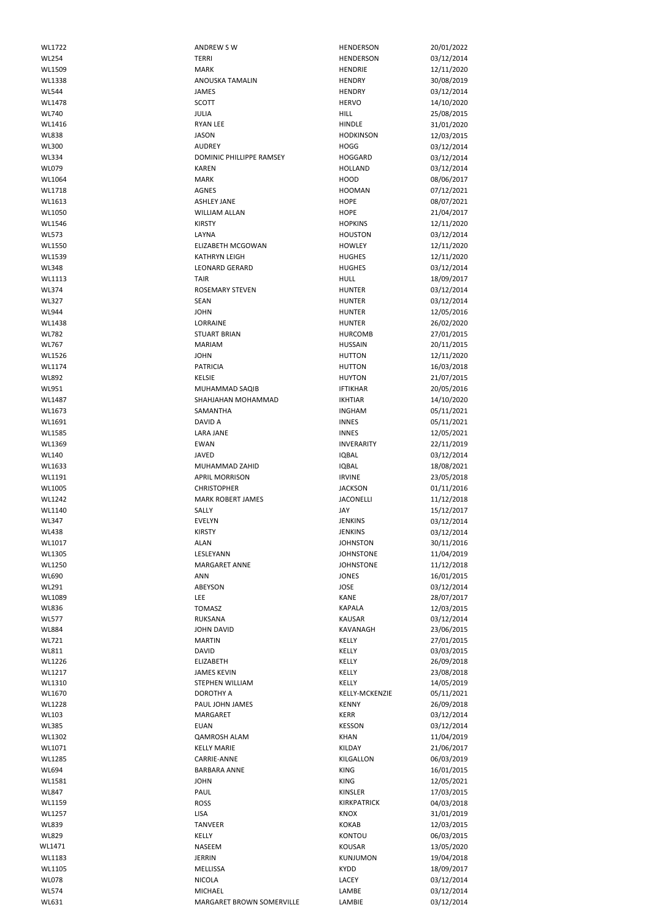| WL1722       | ANDREW SW                 | <b>HENDERSON</b>      | 20/01/2022 |
|--------------|---------------------------|-----------------------|------------|
| <b>WL254</b> | <b>TERRI</b>              | <b>HENDERSON</b>      |            |
|              |                           |                       | 03/12/2014 |
| WL1509       | <b>MARK</b>               | <b>HENDRIE</b>        | 12/11/2020 |
| WL1338       | <b>ANOUSKA TAMALIN</b>    | <b>HENDRY</b>         | 30/08/2019 |
| <b>WL544</b> | JAMES                     | <b>HENDRY</b>         | 03/12/2014 |
| WL1478       | <b>SCOTT</b>              | <b>HERVO</b>          | 14/10/2020 |
| <b>WL740</b> | JULIA                     | <b>HILL</b>           | 25/08/2015 |
|              |                           |                       |            |
| WL1416       | <b>RYAN LEE</b>           | <b>HINDLE</b>         | 31/01/2020 |
| <b>WL838</b> | <b>JASON</b>              | <b>HODKINSON</b>      | 12/03/2015 |
| <b>WL300</b> | <b>AUDREY</b>             | <b>HOGG</b>           | 03/12/2014 |
| <b>WL334</b> | DOMINIC PHILLIPPE RAMSEY  | <b>HOGGARD</b>        | 03/12/2014 |
| <b>WL079</b> | <b>KAREN</b>              | <b>HOLLAND</b>        | 03/12/2014 |
|              |                           |                       |            |
| WL1064       | <b>MARK</b>               | HOOD                  | 08/06/2017 |
| WL1718       | <b>AGNES</b>              | <b>HOOMAN</b>         | 07/12/2021 |
| WL1613       | <b>ASHLEY JANE</b>        | <b>HOPE</b>           | 08/07/2021 |
| WL1050       | WILLIAM ALLAN             | <b>HOPE</b>           | 21/04/2017 |
| WL1546       | <b>KIRSTY</b>             | <b>HOPKINS</b>        | 12/11/2020 |
| <b>WL573</b> | LAYNA                     | <b>HOUSTON</b>        | 03/12/2014 |
|              |                           |                       |            |
| WL1550       | <b>ELIZABETH MCGOWAN</b>  | <b>HOWLEY</b>         | 12/11/2020 |
| WL1539       | <b>KATHRYN LEIGH</b>      | <b>HUGHES</b>         | 12/11/2020 |
| <b>WL348</b> | <b>LEONARD GERARD</b>     | <b>HUGHES</b>         | 03/12/2014 |
| WL1113       | <b>TAIR</b>               | <b>HULL</b>           | 18/09/2017 |
| <b>WL374</b> | <b>ROSEMARY STEVEN</b>    | <b>HUNTER</b>         | 03/12/2014 |
|              |                           |                       |            |
| <b>WL327</b> | SEAN                      | <b>HUNTER</b>         | 03/12/2014 |
| <b>WL944</b> | <b>JOHN</b>               | <b>HUNTER</b>         | 12/05/2016 |
| WL1438       | LORRAINE                  | <b>HUNTER</b>         | 26/02/2020 |
| <b>WL782</b> | <b>STUART BRIAN</b>       | <b>HURCOMB</b>        | 27/01/2015 |
| <b>WL767</b> | <b>MARIAM</b>             | <b>HUSSAIN</b>        | 20/11/2015 |
|              |                           |                       |            |
| WL1526       | <b>JOHN</b>               | <b>HUTTON</b>         | 12/11/2020 |
| WL1174       | <b>PATRICIA</b>           | <b>HUTTON</b>         | 16/03/2018 |
| WL892        | KELSIE                    | <b>HUYTON</b>         | 21/07/2015 |
| WL951        | MUHAMMAD SAQIB            | <b>IFTIKHAR</b>       | 20/05/2016 |
| WL1487       | SHAHJAHAN MOHAMMAD        | <b>IKHTIAR</b>        | 14/10/2020 |
|              | SAMANTHA                  | <b>INGHAM</b>         | 05/11/2021 |
| WL1673       |                           |                       |            |
| WL1691       | DAVID A                   | <b>INNES</b>          | 05/11/2021 |
| WL1585       | <b>LARA JANE</b>          | <b>INNES</b>          | 12/05/2021 |
| WL1369       | <b>EWAN</b>               | <b>INVERARITY</b>     | 22/11/2019 |
| <b>WL140</b> | <b>JAVED</b>              | <b>IQBAL</b>          | 03/12/2014 |
|              | MUHAMMAD ZAHID            |                       |            |
| WL1633       |                           | <b>IQBAL</b>          | 18/08/2021 |
| WL1191       | <b>APRIL MORRISON</b>     | <b>IRVINE</b>         | 23/05/2018 |
| WL1005       | <b>CHRISTOPHER</b>        | <b>JACKSON</b>        | 01/11/2016 |
| WL1242       | <b>MARK ROBERT JAMES</b>  | <b>JACONELLI</b>      | 11/12/2018 |
| WL1140       | SALLY                     | JAY                   | 15/12/2017 |
| <b>WL347</b> | <b>EVELYN</b>             | <b>JENKINS</b>        | 03/12/2014 |
|              |                           |                       |            |
| <b>WL438</b> | <b>KIRSTY</b>             | <b>JENKINS</b>        | 03/12/2014 |
| WL1017       | <b>ALAN</b>               | <b>JOHNSTON</b>       | 30/11/2016 |
| WL1305       | LESLEYANN                 | <b>JOHNSTONE</b>      | 11/04/2019 |
| WL1250       | <b>MARGARET ANNE</b>      | <b>JOHNSTONE</b>      | 11/12/2018 |
| WL690        | <b>ANN</b>                |                       |            |
|              |                           | <b>JONES</b>          | 16/01/2015 |
| WL291        | ABEYSON                   | <b>JOSE</b>           | 03/12/2014 |
| WL1089       | LEE                       | <b>KANE</b>           | 28/07/2017 |
| <b>WL836</b> | <b>TOMASZ</b>             | <b>KAPALA</b>         | 12/03/2015 |
| <b>WL577</b> | <b>RUKSANA</b>            | <b>KAUSAR</b>         | 03/12/2014 |
| <b>WL884</b> | <b>JOHN DAVID</b>         | KAVANAGH              | 23/06/2015 |
| WL721        | <b>MARTIN</b>             | KELLY                 | 27/01/2015 |
|              |                           |                       |            |
| WL811        | <b>DAVID</b>              | KELLY                 | 03/03/2015 |
| WL1226       | <b>ELIZABETH</b>          | KELLY                 | 26/09/2018 |
| WL1217       | <b>JAMES KEVIN</b>        | KELLY                 | 23/08/2018 |
| WL1310       | STEPHEN WILLIAM           | KELLY                 | 14/05/2019 |
| WL1670       | DOROTHY A                 | <b>KELLY-MCKENZIE</b> | 05/11/2021 |
| WL1228       | PAUL JOHN JAMES           | <b>KENNY</b>          | 26/09/2018 |
|              |                           |                       |            |
| <b>WL103</b> | MARGARET                  | <b>KERR</b>           | 03/12/2014 |
| <b>WL385</b> | <b>EUAN</b>               | <b>KESSON</b>         | 03/12/2014 |
| WL1302       | <b>QAMROSH ALAM</b>       | <b>KHAN</b>           | 11/04/2019 |
| WL1071       | <b>KELLY MARIE</b>        | KILDAY                | 21/06/2017 |
| WL1285       | CARRIE-ANNE               | KILGALLON             | 06/03/2019 |
| WL694        | <b>BARBARA ANNE</b>       | <b>KING</b>           | 16/01/2015 |
|              |                           |                       |            |
| WL1581       | <b>JOHN</b>               | <b>KING</b>           | 12/05/2021 |
| <b>WL847</b> | PAUL                      | KINSLER               | 17/03/2015 |
| WL1159       | <b>ROSS</b>               | <b>KIRKPATRICK</b>    | 04/03/2018 |
| WL1257       | LISA                      | KNOX                  | 31/01/2019 |
| <b>WL839</b> | <b>TANVEER</b>            | <b>KOKAB</b>          |            |
|              |                           |                       | 12/03/2015 |
| <b>WL829</b> | KELLY                     | <b>KONTOU</b>         | 06/03/2015 |
| WL1471       | NASEEM                    | <b>KOUSAR</b>         | 13/05/2020 |
| WL1183       | <b>JERRIN</b>             | KUNJUMON              | 19/04/2018 |
| WL1105       | MELLISSA                  | <b>KYDD</b>           | 18/09/2017 |
|              |                           |                       |            |
| <b>WL078</b> | <b>NICOLA</b>             | LACEY                 | 03/12/2014 |
| <b>WL574</b> | MICHAEL                   | LAMBE                 | 03/12/2014 |
| WL631        | MARGARET BROWN SOMERVILLE | LAMBIE                | 03/12/2014 |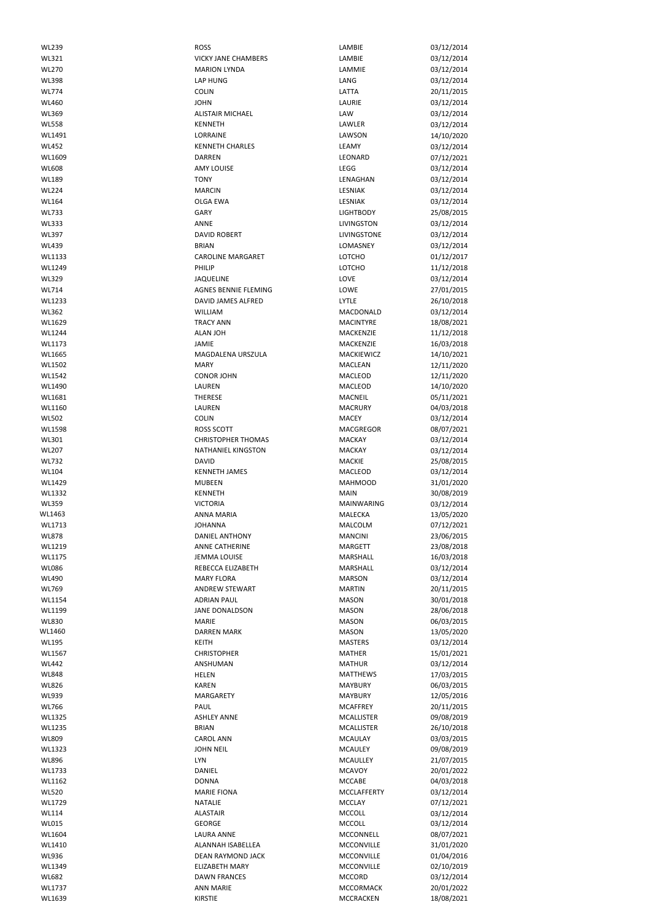| <b>WL239</b> | <b>ROSS</b>                | LAMBIE             | 03/12/2014 |
|--------------|----------------------------|--------------------|------------|
| WL321        | <b>VICKY JANE CHAMBERS</b> | LAMBIE             | 03/12/2014 |
| <b>WL270</b> | <b>MARION LYNDA</b>        | LAMMIE             |            |
|              |                            |                    | 03/12/2014 |
| <b>WL398</b> | <b>LAP HUNG</b>            | LANG               | 03/12/2014 |
| <b>WL774</b> | <b>COLIN</b>               | LATTA              | 20/11/2015 |
| <b>WL460</b> | <b>JOHN</b>                | LAURIE             | 03/12/2014 |
| WL369        | <b>ALISTAIR MICHAEL</b>    | LAW                | 03/12/2014 |
| <b>WL558</b> | <b>KENNETH</b>             | LAWLER             | 03/12/2014 |
| WL1491       | LORRAINE                   | LAWSON             | 14/10/2020 |
| <b>WL452</b> | <b>KENNETH CHARLES</b>     | LEAMY              | 03/12/2014 |
| WL1609       | <b>DARREN</b>              | LEONARD            | 07/12/2021 |
| <b>WL608</b> | <b>AMY LOUISE</b>          | LEGG               | 03/12/2014 |
|              |                            |                    |            |
| <b>WL189</b> | <b>TONY</b>                | LENAGHAN           | 03/12/2014 |
| <b>WL224</b> | <b>MARCIN</b>              | LESNIAK            | 03/12/2014 |
| <b>WL164</b> | <b>OLGA EWA</b>            | LESNIAK            | 03/12/2014 |
| <b>WL733</b> | GARY                       | <b>LIGHTBODY</b>   | 25/08/2015 |
| <b>WL333</b> | ANNE                       | <b>LIVINGSTON</b>  | 03/12/2014 |
| WL397        | <b>DAVID ROBERT</b>        | LIVINGSTONE        | 03/12/2014 |
| <b>WL439</b> | <b>BRIAN</b>               | LOMASNEY           | 03/12/2014 |
| WL1133       | <b>CAROLINE MARGARET</b>   | LOTCHO             | 01/12/2017 |
| WL1249       | PHILIP                     | LOTCHO             | 11/12/2018 |
| <b>WL329</b> | JAQUELINE                  | LOVE               |            |
|              |                            |                    | 03/12/2014 |
| WL714        | AGNES BENNIE FLEMING       | LOWE               | 27/01/2015 |
| WL1233       | DAVID JAMES ALFRED         | <b>LYTLE</b>       | 26/10/2018 |
| WL362        | WILLIAM                    | MACDONALD          | 03/12/2014 |
| WL1629       | <b>TRACY ANN</b>           | <b>MACINTYRE</b>   | 18/08/2021 |
| WL1244       | <b>ALAN JOH</b>            | MACKENZIE          | 11/12/2018 |
| WL1173       | JAMIE                      | MACKENZIE          | 16/03/2018 |
| WL1665       | <b>MAGDALENA URSZULA</b>   | MACKIEWICZ         | 14/10/2021 |
| WL1502       | <b>MARY</b>                | <b>MACLEAN</b>     | 12/11/2020 |
| WL1542       | <b>CONOR JOHN</b>          | MACLEOD            | 12/11/2020 |
| WL1490       | LAUREN                     | MACLEOD            | 14/10/2020 |
|              | THERESE                    | MACNEIL            | 05/11/2021 |
| WL1681       |                            |                    |            |
| WL1160       | LAUREN                     | <b>MACRURY</b>     | 04/03/2018 |
| <b>WL502</b> | <b>COLIN</b>               | <b>MACEY</b>       | 03/12/2014 |
| WL1598       | <b>ROSS SCOTT</b>          | MACGREGOR          | 08/07/2021 |
| WL301        | <b>CHRISTOPHER THOMAS</b>  | <b>MACKAY</b>      | 03/12/2014 |
| <b>WL207</b> | <b>NATHANIEL KINGSTON</b>  | <b>MACKAY</b>      | 03/12/2014 |
| <b>WL732</b> | <b>DAVID</b>               | <b>MACKIE</b>      | 25/08/2015 |
| <b>WL104</b> | <b>KENNETH JAMES</b>       | MACLEOD            | 03/12/2014 |
| WL1429       | <b>MUBEEN</b>              | <b>MAHMOOD</b>     | 31/01/2020 |
| WL1332       | <b>KENNETH</b>             | <b>MAIN</b>        | 30/08/2019 |
| <b>WL359</b> | <b>VICTORIA</b>            | <b>MAINWARING</b>  | 03/12/2014 |
| WL1463       | <b>ANNA MARIA</b>          | MALECKA            | 13/05/2020 |
| WL1713       | <b>JOHANNA</b>             | MALCOLM            | 07/12/2021 |
| <b>WL878</b> | DANIEL ANTHONY             | <b>MANCINI</b>     | 23/06/2015 |
|              |                            |                    |            |
| WL1219       | ANNE CATHERINE             | <b>MARGETT</b>     | 23/08/2018 |
| WL1175       | <b>JEMMA LOUISE</b>        | MARSHALL           | 16/03/2018 |
| <b>WL086</b> | REBECCA ELIZABETH          | <b>MARSHALL</b>    | 03/12/2014 |
| WL490        | <b>MARY FLORA</b>          | <b>MARSON</b>      | 03/12/2014 |
| WL769        | <b>ANDREW STEWART</b>      | <b>MARTIN</b>      | 20/11/2015 |
| WL1154       | <b>ADRIAN PAUL</b>         | <b>MASON</b>       | 30/01/2018 |
| WL1199       | <b>JANE DONALDSON</b>      | <b>MASON</b>       | 28/06/2018 |
| <b>WL830</b> | <b>MARIE</b>               | <b>MASON</b>       | 06/03/2015 |
| WL1460       | <b>DARREN MARK</b>         | <b>MASON</b>       | 13/05/2020 |
| <b>WL195</b> | <b>KEITH</b>               | <b>MASTERS</b>     | 03/12/2014 |
| WL1567       | <b>CHRISTOPHER</b>         | <b>MATHER</b>      | 15/01/2021 |
| <b>WL442</b> | ANSHUMAN                   | <b>MATHUR</b>      | 03/12/2014 |
| <b>WL848</b> | <b>HELEN</b>               | <b>MATTHEWS</b>    | 17/03/2015 |
| <b>WL826</b> | <b>KAREN</b>               | <b>MAYBURY</b>     | 06/03/2015 |
| <b>WL939</b> | MARGARETY                  | <b>MAYBURY</b>     | 12/05/2016 |
| WL766        | PAUL                       | <b>MCAFFREY</b>    | 20/11/2015 |
| WL1325       | <b>ASHLEY ANNE</b>         | <b>MCALLISTER</b>  | 09/08/2019 |
| WL1235       | <b>BRIAN</b>               | <b>MCALLISTER</b>  | 26/10/2018 |
|              |                            |                    |            |
| WL809        |                            |                    |            |
|              | <b>CAROL ANN</b>           | <b>MCAULAY</b>     | 03/03/2015 |
| WL1323       | <b>JOHN NEIL</b>           | <b>MCAULEY</b>     | 09/08/2019 |
| WL896        | <b>LYN</b>                 | MCAULLEY           | 21/07/2015 |
| WL1733       | DANIEL                     | <b>MCAVOY</b>      | 20/01/2022 |
| WL1162       | <b>DONNA</b>               | <b>MCCABE</b>      | 04/03/2018 |
| <b>WL520</b> | <b>MARIE FIONA</b>         | <b>MCCLAFFERTY</b> | 03/12/2014 |
| WL1729       | <b>NATALIE</b>             | <b>MCCLAY</b>      | 07/12/2021 |
| <b>WL114</b> | <b>ALASTAIR</b>            | <b>MCCOLL</b>      | 03/12/2014 |
| <b>WL015</b> | <b>GEORGE</b>              | MCCOLL             | 03/12/2014 |
| WL1604       | <b>LAURA ANNE</b>          | MCCONNELL          | 08/07/2021 |
| WL1410       | ALANNAH ISABELLEA          | MCCONVILLE         | 31/01/2020 |
| WL936        | DEAN RAYMOND JACK          | MCCONVILLE         | 01/04/2016 |
|              | <b>ELIZABETH MARY</b>      |                    |            |
| WL1349       |                            | MCCONVILLE         | 02/10/2019 |
| <b>WL682</b> | <b>DAWN FRANCES</b>        | <b>MCCORD</b>      | 03/12/2014 |
| WL1737       | <b>ANN MARIE</b>           | MCCORMACK          | 20/01/2022 |
| WL1639       | <b>KIRSTIE</b>             | <b>MCCRACKEN</b>   | 18/08/2021 |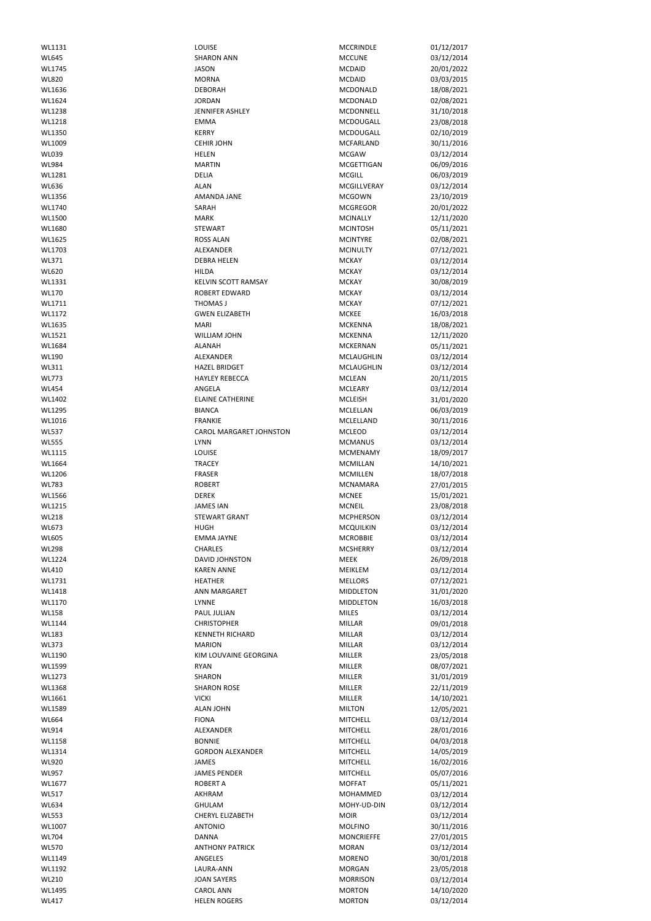| WL1131       | LOUISE                         | <b>MCCRINDLE</b>  | 01/12/2017 |
|--------------|--------------------------------|-------------------|------------|
| <b>WL645</b> | <b>SHARON ANN</b>              | <b>MCCUNE</b>     | 03/12/2014 |
|              |                                |                   |            |
| WL1745       | <b>JASON</b>                   | <b>MCDAID</b>     | 20/01/2022 |
| <b>WL820</b> | <b>MORNA</b>                   | <b>MCDAID</b>     | 03/03/2015 |
|              |                                |                   |            |
| WL1636       | <b>DEBORAH</b>                 | MCDONALD          | 18/08/2021 |
| WL1624       | <b>JORDAN</b>                  | MCDONALD          | 02/08/2021 |
| WL1238       | JENNIFER ASHLEY                | MCDONNELL         | 31/10/2018 |
|              |                                |                   |            |
| WL1218       | <b>EMMA</b>                    | MCDOUGALL         | 23/08/2018 |
| WL1350       | <b>KERRY</b>                   | MCDOUGALL         | 02/10/2019 |
|              |                                |                   |            |
| WL1009       | <b>CEHIR JOHN</b>              | <b>MCFARLAND</b>  | 30/11/2016 |
| WL039        | <b>HELEN</b>                   | <b>MCGAW</b>      | 03/12/2014 |
|              |                                |                   |            |
| <b>WL984</b> | <b>MARTIN</b>                  | MCGETTIGAN        | 06/09/2016 |
| WL1281       | <b>DELIA</b>                   | <b>MCGILL</b>     | 06/03/2019 |
|              |                                |                   |            |
| WL636        | <b>ALAN</b>                    | MCGILLVERAY       | 03/12/2014 |
| WL1356       | AMANDA JANE                    | <b>MCGOWN</b>     | 23/10/2019 |
|              |                                |                   |            |
| WL1740       | SARAH                          | <b>MCGREGOR</b>   | 20/01/2022 |
| WL1500       | <b>MARK</b>                    | <b>MCINALLY</b>   | 12/11/2020 |
|              |                                |                   |            |
| WL1680       | <b>STEWART</b>                 | <b>MCINTOSH</b>   | 05/11/2021 |
| WL1625       | <b>ROSS ALAN</b>               | <b>MCINTYRE</b>   | 02/08/2021 |
|              |                                |                   |            |
| WL1703       | ALEXANDER                      | <b>MCINULTY</b>   | 07/12/2021 |
| WL371        | <b>DEBRA HELEN</b>             | <b>MCKAY</b>      | 03/12/2014 |
|              |                                |                   |            |
| <b>WL620</b> | <b>HILDA</b>                   | <b>MCKAY</b>      | 03/12/2014 |
| WL1331       | <b>KELVIN SCOTT RAMSAY</b>     | <b>MCKAY</b>      | 30/08/2019 |
|              |                                |                   |            |
| <b>WL170</b> | <b>ROBERT EDWARD</b>           | <b>MCKAY</b>      | 03/12/2014 |
| WL1711       | THOMAS J                       | <b>MCKAY</b>      | 07/12/2021 |
|              |                                |                   |            |
| WL1172       | <b>GWEN ELIZABETH</b>          | <b>MCKEE</b>      | 16/03/2018 |
| WL1635       | <b>MARI</b>                    | <b>MCKENNA</b>    | 18/08/2021 |
|              |                                |                   |            |
| WL1521       | <b>WILLIAM JOHN</b>            | <b>MCKENNA</b>    | 12/11/2020 |
| WL1684       | ALANAH                         | <b>MCKERNAN</b>   | 05/11/2021 |
|              |                                |                   |            |
| <b>WL190</b> | ALEXANDER                      | MCLAUGHLIN        | 03/12/2014 |
| WL311        | <b>HAZEL BRIDGET</b>           | MCLAUGHLIN        | 03/12/2014 |
|              |                                |                   |            |
| <b>WL773</b> | <b>HAYLEY REBECCA</b>          | <b>MCLEAN</b>     | 20/11/2015 |
| <b>WL454</b> | ANGELA                         | <b>MCLEARY</b>    | 03/12/2014 |
|              |                                |                   |            |
| WL1402       | <b>ELAINE CATHERINE</b>        | <b>MCLEISH</b>    | 31/01/2020 |
| WL1295       | <b>BIANCA</b>                  | MCLELLAN          | 06/03/2019 |
|              |                                |                   |            |
| WL1016       | <b>FRANKIE</b>                 | MCLELLAND         | 30/11/2016 |
| <b>WL537</b> | <b>CAROL MARGARET JOHNSTON</b> | <b>MCLEOD</b>     | 03/12/2014 |
|              |                                |                   |            |
| <b>WL555</b> | <b>LYNN</b>                    | <b>MCMANUS</b>    | 03/12/2014 |
| WL1115       | LOUISE                         | <b>MCMENAMY</b>   | 18/09/2017 |
|              |                                |                   |            |
| WL1664       | <b>TRACEY</b>                  | <b>MCMILLAN</b>   | 14/10/2021 |
| WL1206       | <b>FRASER</b>                  | <b>MCMILLEN</b>   | 18/07/2018 |
| <b>WL783</b> | <b>ROBERT</b>                  | <b>MCNAMARA</b>   | 27/01/2015 |
|              |                                |                   |            |
| WL1566       | <b>DEREK</b>                   | <b>MCNEE</b>      | 15/01/2021 |
| WL1215       | <b>JAMES IAN</b>               | <b>MCNEIL</b>     | 23/08/2018 |
|              |                                |                   |            |
| <b>WL218</b> | <b>STEWART GRANT</b>           | <b>MCPHERSON</b>  | 03/12/2014 |
| <b>WL673</b> | <b>HUGH</b>                    | <b>MCQUILKIN</b>  | 03/12/2014 |
|              |                                |                   |            |
| <b>WL605</b> | <b>EMMA JAYNE</b>              | <b>MCROBBIE</b>   | 03/12/2014 |
| <b>WL298</b> | <b>CHARLES</b>                 | <b>MCSHERRY</b>   | 03/12/2014 |
|              |                                |                   |            |
| WL1224       | <b>DAVID JOHNSTON</b>          | MEEK              | 26/09/2018 |
| WL410        | <b>KAREN ANNE</b>              | MEIKLEM           | 03/12/2014 |
|              |                                |                   |            |
| WL1731       | <b>HEATHER</b>                 | <b>MELLORS</b>    | 07/12/2021 |
| WL1418       | <b>ANN MARGARET</b>            | <b>MIDDLETON</b>  | 31/01/2020 |
|              |                                |                   |            |
| WL1170       | LYNNE                          | <b>MIDDLETON</b>  | 16/03/2018 |
| <b>WL158</b> | PAUL JULIAN                    | <b>MILES</b>      | 03/12/2014 |
|              |                                |                   |            |
| WL1144       | <b>CHRISTOPHER</b>             | <b>MILLAR</b>     | 09/01/2018 |
| <b>WL183</b> | <b>KENNETH RICHARD</b>         | <b>MILLAR</b>     | 03/12/2014 |
| <b>WL373</b> | <b>MARION</b>                  | <b>MILLAR</b>     | 03/12/2014 |
|              |                                |                   |            |
| WL1190       | KIM LOUVAINE GEORGINA          | MILLER            | 23/05/2018 |
| WL1599       | <b>RYAN</b>                    | MILLER            | 08/07/2021 |
|              |                                |                   |            |
| WL1273       | <b>SHARON</b>                  | MILLER            | 31/01/2019 |
| WL1368       | <b>SHARON ROSE</b>             | <b>MILLER</b>     | 22/11/2019 |
|              |                                |                   |            |
| WL1661       | <b>VICKI</b>                   | MILLER            | 14/10/2021 |
| WL1589       | <b>ALAN JOHN</b>               | <b>MILTON</b>     | 12/05/2021 |
|              |                                |                   |            |
| <b>WL664</b> | <b>FIONA</b>                   | <b>MITCHELL</b>   | 03/12/2014 |
| WL914        | ALEXANDER                      | <b>MITCHELL</b>   | 28/01/2016 |
|              |                                |                   |            |
| WL1158       | <b>BONNIE</b>                  | <b>MITCHELL</b>   | 04/03/2018 |
| WL1314       | <b>GORDON ALEXANDER</b>        | <b>MITCHELL</b>   | 14/05/2019 |
|              | <b>JAMES</b>                   |                   |            |
| <b>WL920</b> |                                | <b>MITCHELL</b>   | 16/02/2016 |
| <b>WL957</b> | <b>JAMES PENDER</b>            | <b>MITCHELL</b>   | 05/07/2016 |
| WL1677       |                                | <b>MOFFAT</b>     |            |
|              | <b>ROBERT A</b>                |                   | 05/11/2021 |
| <b>WL517</b> | <b>AKHRAM</b>                  | MOHAMMED          | 03/12/2014 |
| <b>WL634</b> | <b>GHULAM</b>                  | MOHY-UD-DIN       | 03/12/2014 |
|              |                                |                   |            |
| <b>WL553</b> | CHERYL ELIZABETH               | <b>MOIR</b>       | 03/12/2014 |
| WL1007       | <b>ANTONIO</b>                 | <b>MOLFINO</b>    | 30/11/2016 |
|              |                                |                   |            |
| <b>WL704</b> | <b>DANNA</b>                   | <b>MONCRIEFFE</b> | 27/01/2015 |
| <b>WL570</b> | <b>ANTHONY PATRICK</b>         | <b>MORAN</b>      | 03/12/2014 |
|              |                                |                   |            |
| WL1149       | ANGELES                        | <b>MORENO</b>     | 30/01/2018 |
| WL1192       | LAURA-ANN                      | <b>MORGAN</b>     | 23/05/2018 |
|              |                                |                   |            |
| <b>WL210</b> |                                | <b>MORRISON</b>   | 03/12/2014 |
|              | <b>JOAN SAYERS</b>             |                   |            |
| WL1495       | <b>CAROL ANN</b>               | <b>MORTON</b>     | 14/10/2020 |
| <b>WL417</b> | <b>HELEN ROGERS</b>            | <b>MORTON</b>     | 03/12/2014 |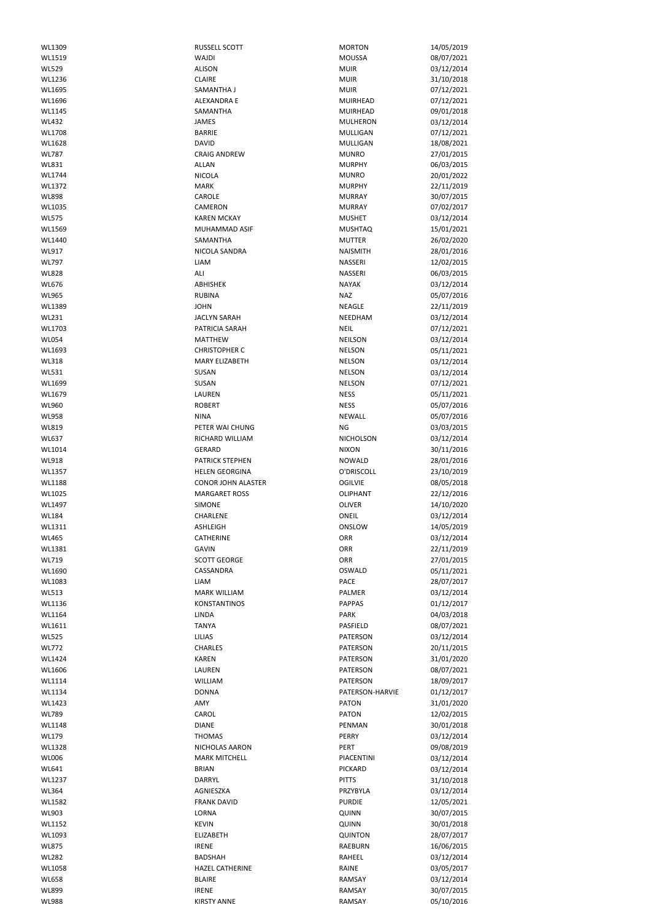| WL1309       |                           |                   |            |
|--------------|---------------------------|-------------------|------------|
|              | <b>RUSSELL SCOTT</b>      | <b>MORTON</b>     | 14/05/2019 |
| WL1519       | WAJDI                     | <b>MOUSSA</b>     | 08/07/2021 |
| <b>WL529</b> | <b>ALISON</b>             | <b>MUIR</b>       | 03/12/2014 |
|              |                           |                   |            |
| WL1236       | <b>CLAIRE</b>             | <b>MUIR</b>       | 31/10/2018 |
| WL1695       | SAMANTHA J                | <b>MUIR</b>       | 07/12/2021 |
| WL1696       | ALEXANDRA E               | <b>MUIRHEAD</b>   | 07/12/2021 |
| WL1145       | SAMANTHA                  | <b>MUIRHEAD</b>   | 09/01/2018 |
|              |                           |                   |            |
| <b>WL432</b> | JAMES                     | <b>MULHERON</b>   | 03/12/2014 |
| WL1708       | <b>BARRIE</b>             | <b>MULLIGAN</b>   | 07/12/2021 |
| WL1628       | <b>DAVID</b>              | MULLIGAN          | 18/08/2021 |
|              |                           |                   |            |
| <b>WL787</b> | <b>CRAIG ANDREW</b>       | <b>MUNRO</b>      | 27/01/2015 |
| WL831        | <b>ALLAN</b>              | <b>MURPHY</b>     | 06/03/2015 |
| WL1744       | <b>NICOLA</b>             | <b>MUNRO</b>      | 20/01/2022 |
|              |                           |                   |            |
| WL1372       | <b>MARK</b>               | <b>MURPHY</b>     | 22/11/2019 |
| <b>WL898</b> | CAROLE                    | <b>MURRAY</b>     | 30/07/2015 |
| WL1035       | CAMERON                   | <b>MURRAY</b>     | 07/02/2017 |
| <b>WL575</b> | <b>KAREN MCKAY</b>        | <b>MUSHET</b>     | 03/12/2014 |
|              |                           |                   |            |
| WL1569       | MUHAMMAD ASIF             | <b>MUSHTAQ</b>    | 15/01/2021 |
| WL1440       | SAMANTHA                  | <b>MUTTER</b>     | 26/02/2020 |
| WL917        | NICOLA SANDRA             | <b>NAISMITH</b>   | 28/01/2016 |
|              |                           |                   |            |
| <b>WL797</b> | LIAM                      | NASSERI           | 12/02/2015 |
| <b>WL828</b> | ALI                       | NASSERI           | 06/03/2015 |
| WL676        | ABHISHEK                  | <b>NAYAK</b>      | 03/12/2014 |
|              |                           |                   |            |
| <b>WL965</b> | <b>RUBINA</b>             | <b>NAZ</b>        | 05/07/2016 |
| WL1389       | <b>JOHN</b>               | NEAGLE            | 22/11/2019 |
| WL231        | <b>JACLYN SARAH</b>       | NEEDHAM           |            |
|              |                           |                   | 03/12/2014 |
| WL1703       | PATRICIA SARAH            | <b>NEIL</b>       | 07/12/2021 |
| <b>WL054</b> | <b>MATTHEW</b>            | <b>NEILSON</b>    | 03/12/2014 |
|              |                           |                   |            |
| WL1693       | <b>CHRISTOPHER C</b>      | <b>NELSON</b>     | 05/11/2021 |
| <b>WL318</b> | <b>MARY ELIZABETH</b>     | <b>NELSON</b>     | 03/12/2014 |
| <b>WL531</b> | SUSAN                     | <b>NELSON</b>     | 03/12/2014 |
|              |                           |                   |            |
| WL1699       | <b>SUSAN</b>              | <b>NELSON</b>     | 07/12/2021 |
| WL1679       | LAUREN                    | <b>NESS</b>       | 05/11/2021 |
| WL960        | <b>ROBERT</b>             | <b>NESS</b>       | 05/07/2016 |
|              |                           |                   |            |
| <b>WL958</b> | <b>NINA</b>               | NEWALL            | 05/07/2016 |
| WL819        | PETER WAI CHUNG           | ΝG                | 03/03/2015 |
| WL637        | RICHARD WILLIAM           | <b>NICHOLSON</b>  | 03/12/2014 |
|              |                           |                   |            |
| WL1014       | <b>GERARD</b>             | <b>NIXON</b>      | 30/11/2016 |
| WL918        | PATRICK STEPHEN           | <b>NOWALD</b>     | 28/01/2016 |
| WL1357       | <b>HELEN GEORGINA</b>     | O'DRISCOLL        | 23/10/2019 |
|              |                           |                   |            |
| WL1188       | <b>CONOR JOHN ALASTER</b> | <b>OGILVIE</b>    | 08/05/2018 |
| WL1025       | <b>MARGARET ROSS</b>      | <b>OLIPHANT</b>   | 22/12/2016 |
|              |                           |                   |            |
| WL1497       | <b>SIMONE</b>             | <b>OLIVER</b>     | 14/10/2020 |
| <b>WL184</b> | CHARLENE                  | ONEIL             | 03/12/2014 |
| WL1311       | ASHLEIGH                  | ONSLOW            | 14/05/2019 |
|              |                           |                   |            |
| WL465        | <b>CATHERINE</b>          | ORR               | 03/12/2014 |
| WL1381       | <b>GAVIN</b>              | ORR               | 22/11/2019 |
|              |                           | ORR               |            |
|              |                           |                   |            |
| WL719        | <b>SCOTT GEORGE</b>       |                   | 27/01/2015 |
| WL1690       | CASSANDRA                 | OSWALD            | 05/11/2021 |
| WL1083       | <b>LIAM</b>               | PACE              | 28/07/2017 |
|              |                           |                   |            |
| <b>WL513</b> | <b>MARK WILLIAM</b>       | PALMER            | 03/12/2014 |
| WL1136       | <b>KONSTANTINOS</b>       | <b>PAPPAS</b>     | 01/12/2017 |
| WL1164       | LINDA                     | PARK              | 04/03/2018 |
| WL1611       | <b>TANYA</b>              | PASFIELD          |            |
|              |                           |                   | 08/07/2021 |
| <b>WL525</b> | LILIAS                    | PATERSON          | 03/12/2014 |
| <b>WL772</b> | <b>CHARLES</b>            | PATERSON          | 20/11/2015 |
| WL1424       | <b>KAREN</b>              | PATERSON          | 31/01/2020 |
|              |                           |                   |            |
| WL1606       | LAUREN                    | PATERSON          | 08/07/2021 |
| WL1114       | WILLIAM                   | PATERSON          | 18/09/2017 |
| WL1134       | <b>DONNA</b>              | PATERSON-HARVIE   | 01/12/2017 |
|              |                           |                   |            |
| WL1423       | AMY                       | <b>PATON</b>      | 31/01/2020 |
| <b>WL789</b> | CAROL                     | <b>PATON</b>      | 12/02/2015 |
| WL1148       | <b>DIANE</b>              | PENMAN            | 30/01/2018 |
|              |                           |                   |            |
| <b>WL179</b> | <b>THOMAS</b>             | PERRY             | 03/12/2014 |
| WL1328       | NICHOLAS AARON            | PERT              | 09/08/2019 |
| <b>WL006</b> | <b>MARK MITCHELL</b>      | <b>PIACENTINI</b> | 03/12/2014 |
|              |                           |                   |            |
| WL641        | <b>BRIAN</b>              | PICKARD           | 03/12/2014 |
| WL1237       | <b>DARRYL</b>             | <b>PITTS</b>      | 31/10/2018 |
| <b>WL364</b> | AGNIESZKA                 | PRZYBYLA          | 03/12/2014 |
|              |                           |                   |            |
| WL1582       | <b>FRANK DAVID</b>        | <b>PURDIE</b>     | 12/05/2021 |
| WL903        | LORNA                     | <b>QUINN</b>      | 30/07/2015 |
| WL1152       | <b>KEVIN</b>              | <b>QUINN</b>      | 30/01/2018 |
|              |                           |                   |            |
| WL1093       | <b>ELIZABETH</b>          | <b>QUINTON</b>    | 28/07/2017 |
| <b>WL875</b> | <b>IRENE</b>              | <b>RAEBURN</b>    | 16/06/2015 |
| <b>WL282</b> | <b>BADSHAH</b>            | RAHEEL            | 03/12/2014 |
|              |                           |                   |            |
| WL1058       | <b>HAZEL CATHERINE</b>    | RAINE             | 03/05/2017 |
| <b>WL658</b> | <b>BLAIRE</b>             | RAMSAY            | 03/12/2014 |
| <b>WL899</b> | <b>IRENE</b>              | RAMSAY<br>RAMSAY  | 30/07/2015 |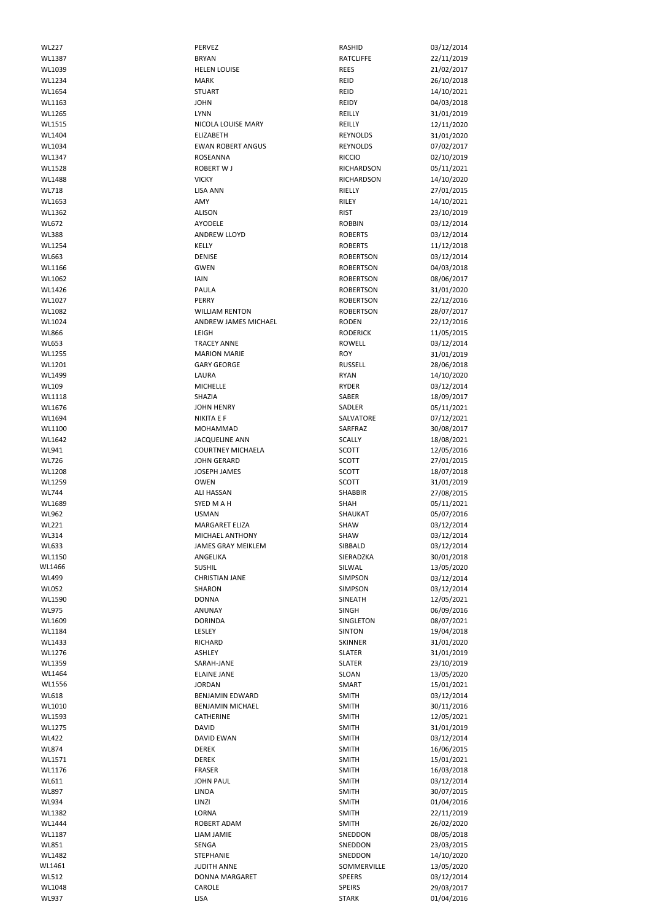| <b>WL227</b> | <b>PERVEZ</b>             | RASHID           | 03/12/2014 |
|--------------|---------------------------|------------------|------------|
| WL1387       | <b>BRYAN</b>              | <b>RATCLIFFE</b> |            |
|              |                           |                  | 22/11/2019 |
| WL1039       | <b>HELEN LOUISE</b>       | <b>REES</b>      | 21/02/2017 |
| WL1234       | <b>MARK</b>               | REID             | 26/10/2018 |
| WL1654       | <b>STUART</b>             | REID             | 14/10/2021 |
| WL1163       | <b>JOHN</b>               | <b>REIDY</b>     | 04/03/2018 |
| WL1265       | <b>LYNN</b>               | REILLY           | 31/01/2019 |
| WL1515       | NICOLA LOUISE MARY        | REILLY           | 12/11/2020 |
| WL1404       | <b>ELIZABETH</b>          | <b>REYNOLDS</b>  | 31/01/2020 |
| WL1034       | <b>EWAN ROBERT ANGUS</b>  | <b>REYNOLDS</b>  | 07/02/2017 |
| WL1347       | <b>ROSEANNA</b>           | <b>RICCIO</b>    | 02/10/2019 |
| WL1528       | <b>ROBERT W J</b>         | RICHARDSON       | 05/11/2021 |
|              |                           |                  |            |
| WL1488       | <b>VICKY</b>              | RICHARDSON       | 14/10/2020 |
| WL718        | <b>LISA ANN</b>           | RIELLY           | 27/01/2015 |
| WL1653       | AMY                       | RILEY            | 14/10/2021 |
| WL1362       | <b>ALISON</b>             | <b>RIST</b>      | 23/10/2019 |
| WL672        | AYODELE                   | <b>ROBBIN</b>    | 03/12/2014 |
| <b>WL388</b> | <b>ANDREW LLOYD</b>       | <b>ROBERTS</b>   | 03/12/2014 |
| WL1254       | <b>KELLY</b>              | <b>ROBERTS</b>   | 11/12/2018 |
| WL663        | <b>DENISE</b>             | <b>ROBERTSON</b> | 03/12/2014 |
| WL1166       | <b>GWEN</b>               | <b>ROBERTSON</b> | 04/03/2018 |
| WL1062       | <b>IAIN</b>               | <b>ROBERTSON</b> | 08/06/2017 |
| WL1426       | PAULA                     | <b>ROBERTSON</b> | 31/01/2020 |
| WL1027       | <b>PERRY</b>              | <b>ROBERTSON</b> | 22/12/2016 |
| WL1082       | <b>WILLIAM RENTON</b>     | <b>ROBERTSON</b> | 28/07/2017 |
| WL1024       | ANDREW JAMES MICHAEL      | <b>RODEN</b>     | 22/12/2016 |
| <b>WL866</b> | LEIGH                     | <b>RODERICK</b>  | 11/05/2015 |
| <b>WL653</b> |                           |                  |            |
|              | <b>TRACEY ANNE</b>        | ROWELL           | 03/12/2014 |
| WL1255       | <b>MARION MARIE</b>       | <b>ROY</b>       | 31/01/2019 |
| WL1201       | <b>GARY GEORGE</b>        | <b>RUSSELL</b>   | 28/06/2018 |
| WL1499       | LAURA                     | <b>RYAN</b>      | 14/10/2020 |
| WL109        | MICHELLE                  | <b>RYDER</b>     | 03/12/2014 |
| WL1118       | SHAZIA                    | SABER            | 18/09/2017 |
| WL1676       | <b>JOHN HENRY</b>         | SADLER           | 05/11/2021 |
| WL1694       | <b>NIKITA E F</b>         | SALVATORE        | 07/12/2021 |
| WL1100       | MOHAMMAD                  | SARFRAZ          | 30/08/2017 |
| WL1642       | <b>JACQUELINE ANN</b>     | SCALLY           | 18/08/2021 |
| WL941        | <b>COURTNEY MICHAELA</b>  | SCOTT            | 12/05/2016 |
| WL726        | <b>JOHN GERARD</b>        | SCOTT            | 27/01/2015 |
| WL1208       | <b>JOSEPH JAMES</b>       | <b>SCOTT</b>     | 18/07/2018 |
| WL1259       | <b>OWEN</b>               | <b>SCOTT</b>     | 31/01/2019 |
| <b>WL744</b> | <b>ALI HASSAN</b>         | <b>SHABBIR</b>   | 27/08/2015 |
| WL1689       | SYED M A H                | SHAH             | 05/11/2021 |
| WL962        | <b>USMAN</b>              | SHAUKAT          | 05/07/2016 |
| <b>WL221</b> | <b>MARGARET ELIZA</b>     | SHAW             | 03/12/2014 |
| <b>WL314</b> | MICHAEL ANTHONY           | <b>SHAW</b>      | 03/12/2014 |
| WL633        | <b>JAMES GRAY MEIKLEM</b> | SIBBALD          | 03/12/2014 |
| WL1150       | ANGELIKA                  | SIERADZKA        | 30/01/2018 |
| WL1466       | <b>SUSHIL</b>             | SILWAL           | 13/05/2020 |
| <b>WL499</b> | <b>CHRISTIAN JANE</b>     | <b>SIMPSON</b>   | 03/12/2014 |
| <b>WL052</b> | <b>SHARON</b>             | SIMPSON          | 03/12/2014 |
| WL1590       | <b>DONNA</b>              | SINEATH          | 12/05/2021 |
| <b>WL975</b> | ANUNAY                    | <b>SINGH</b>     | 06/09/2016 |
| WL1609       | <b>DORINDA</b>            | SINGLETON        | 08/07/2021 |
| WL1184       | LESLEY                    | <b>SINTON</b>    | 19/04/2018 |
| WL1433       | <b>RICHARD</b>            | <b>SKINNER</b>   | 31/01/2020 |
| WL1276       | ASHLEY                    | <b>SLATER</b>    | 31/01/2019 |
| WL1359       | SARAH-JANE                | <b>SLATER</b>    | 23/10/2019 |
| WL1464       | <b>ELAINE JANE</b>        | SLOAN            | 13/05/2020 |
| WL1556       | <b>JORDAN</b>             | SMART            | 15/01/2021 |
| <b>WL618</b> | <b>BENJAMIN EDWARD</b>    | <b>SMITH</b>     | 03/12/2014 |
|              |                           |                  |            |
| WL1010       | BENJAMIN MICHAEL          | <b>SMITH</b>     | 30/11/2016 |
| WL1593       | CATHERINE                 | <b>SMITH</b>     | 12/05/2021 |
| WL1275       | <b>DAVID</b>              | <b>SMITH</b>     | 31/01/2019 |
| <b>WL422</b> | <b>DAVID EWAN</b>         | <b>SMITH</b>     | 03/12/2014 |
| <b>WL874</b> | <b>DEREK</b>              | <b>SMITH</b>     | 16/06/2015 |
| WL1571       | <b>DEREK</b>              | <b>SMITH</b>     | 15/01/2021 |
| WL1176       | <b>FRASER</b>             | <b>SMITH</b>     | 16/03/2018 |
| WL611        | <b>JOHN PAUL</b>          | <b>SMITH</b>     | 03/12/2014 |
| <b>WL897</b> | LINDA                     | <b>SMITH</b>     | 30/07/2015 |
| <b>WL934</b> | LINZI                     | <b>SMITH</b>     | 01/04/2016 |
| WL1382       | LORNA                     | <b>SMITH</b>     | 22/11/2019 |
| WL1444       | ROBERT ADAM               | <b>SMITH</b>     | 26/02/2020 |
| WL1187       | LIAM JAMIE                | SNEDDON          | 08/05/2018 |
| WL851        | SENGA                     | SNEDDON          | 23/03/2015 |
| WL1482       | STEPHANIE                 | SNEDDON          | 14/10/2020 |
| WL1461       | <b>JUDITH ANNE</b>        | SOMMERVILLE      | 13/05/2020 |
| <b>WL512</b> | DONNA MARGARET            | <b>SPEERS</b>    | 03/12/2014 |
| WL1048       | CAROLE                    | <b>SPEIRS</b>    | 29/03/2017 |
| WL937        | <b>LISA</b>               | <b>STARK</b>     | 01/04/2016 |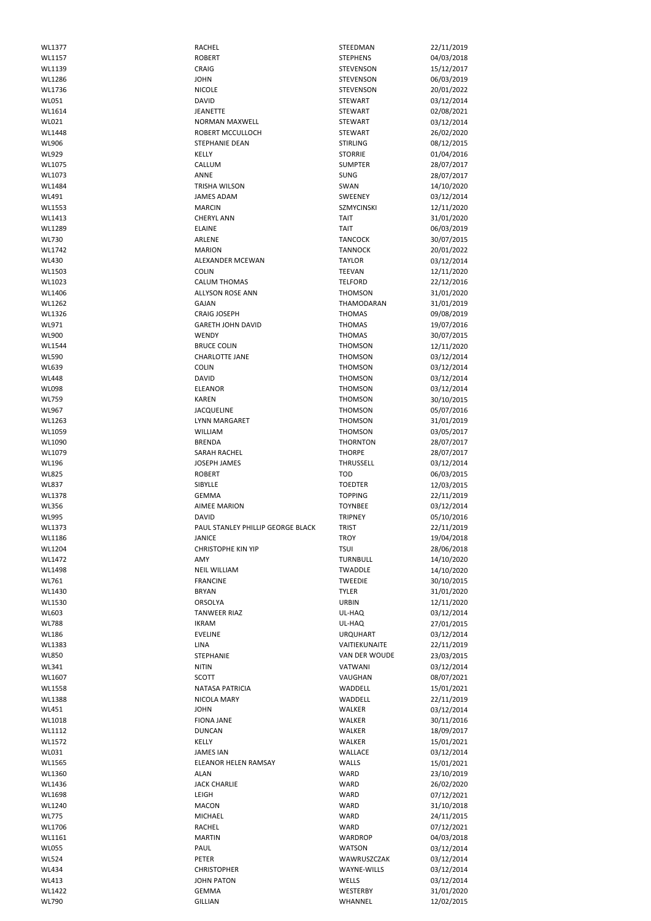| WL1377       | RACHEL                            | STEEDMAN             | 22/11/2019 |
|--------------|-----------------------------------|----------------------|------------|
| WL1157       | <b>ROBERT</b>                     | <b>STEPHENS</b>      | 04/03/2018 |
| WL1139       | CRAIG                             | <b>STEVENSON</b>     | 15/12/2017 |
| WL1286       | <b>JOHN</b>                       | <b>STEVENSON</b>     | 06/03/2019 |
|              |                                   |                      |            |
| WL1736       | <b>NICOLE</b>                     | STEVENSON            | 20/01/2022 |
| WL051        | <b>DAVID</b>                      | <b>STEWART</b>       | 03/12/2014 |
| WL1614       | <b>JEANETTE</b>                   | <b>STEWART</b>       | 02/08/2021 |
| WL021        | <b>NORMAN MAXWELL</b>             | <b>STEWART</b>       | 03/12/2014 |
|              |                                   |                      |            |
| WL1448       | ROBERT MCCULLOCH                  | <b>STEWART</b>       | 26/02/2020 |
| WL906        | STEPHANIE DEAN                    | <b>STIRLING</b>      | 08/12/2015 |
| WL929        | KELLY                             | <b>STORRIE</b>       | 01/04/2016 |
|              |                                   |                      |            |
| WL1075       | CALLUM                            | <b>SUMPTER</b>       | 28/07/2017 |
| WL1073       | ANNE                              | <b>SUNG</b>          | 28/07/2017 |
| WL1484       | TRISHA WILSON                     | SWAN                 | 14/10/2020 |
|              |                                   |                      |            |
| WL491        | <b>JAMES ADAM</b>                 | SWEENEY              | 03/12/2014 |
| WL1553       | <b>MARCIN</b>                     | <b>SZMYCINSKI</b>    | 12/11/2020 |
| WL1413       | <b>CHERYL ANN</b>                 | <b>TAIT</b>          | 31/01/2020 |
| WL1289       | <b>ELAINE</b>                     | <b>TAIT</b>          | 06/03/2019 |
|              |                                   |                      |            |
| <b>WL730</b> | ARLENE                            | <b>TANCOCK</b>       | 30/07/2015 |
| WL1742       | <b>MARION</b>                     | <b>TANNOCK</b>       | 20/01/2022 |
|              |                                   |                      |            |
| <b>WL430</b> | ALEXANDER MCEWAN                  | <b>TAYLOR</b>        | 03/12/2014 |
| WL1503       | <b>COLIN</b>                      | <b>TEEVAN</b>        | 12/11/2020 |
| WL1023       | <b>CALUM THOMAS</b>               | <b>TELFORD</b>       | 22/12/2016 |
| WL1406       | ALLYSON ROSE ANN                  | <b>THOMSON</b>       | 31/01/2020 |
|              |                                   |                      |            |
| WL1262       | <b>GAJAN</b>                      | THAMODARAN           | 31/01/2019 |
| WL1326       | <b>CRAIG JOSEPH</b>               | <b>THOMAS</b>        | 09/08/2019 |
| WL971        | <b>GARETH JOHN DAVID</b>          | <b>THOMAS</b>        |            |
|              |                                   |                      | 19/07/2016 |
| <b>WL900</b> | <b>WENDY</b>                      | <b>THOMAS</b>        | 30/07/2015 |
| WL1544       | <b>BRUCE COLIN</b>                | <b>THOMSON</b>       | 12/11/2020 |
| <b>WL590</b> | <b>CHARLOTTE JANE</b>             | <b>THOMSON</b>       | 03/12/2014 |
|              |                                   |                      |            |
| WL639        | <b>COLIN</b>                      | <b>THOMSON</b>       | 03/12/2014 |
| <b>WL448</b> | <b>DAVID</b>                      | <b>THOMSON</b>       | 03/12/2014 |
| <b>WL098</b> | <b>ELEANOR</b>                    | <b>THOMSON</b>       | 03/12/2014 |
|              |                                   |                      |            |
| <b>WL759</b> | <b>KAREN</b>                      | <b>THOMSON</b>       | 30/10/2015 |
| WL967        | <b>JACQUELINE</b>                 | <b>THOMSON</b>       | 05/07/2016 |
| WL1263       | LYNN MARGARET                     | <b>THOMSON</b>       | 31/01/2019 |
|              |                                   |                      |            |
| WL1059       | <b>WILLIAM</b>                    | <b>THOMSON</b>       | 03/05/2017 |
| WL1090       | <b>BRENDA</b>                     | <b>THORNTON</b>      | 28/07/2017 |
| WL1079       | <b>SARAH RACHEL</b>               | <b>THORPE</b>        | 28/07/2017 |
|              |                                   |                      |            |
| <b>WL196</b> | <b>JOSEPH JAMES</b>               | THRUSSELL            | 03/12/2014 |
| <b>WL825</b> | <b>ROBERT</b>                     | <b>TOD</b>           | 06/03/2015 |
| <b>WL837</b> | SIBYLLE                           | <b>TOEDTER</b>       | 12/03/2015 |
|              |                                   |                      |            |
|              |                                   |                      |            |
| WL1378       | <b>GEMMA</b>                      | <b>TOPPING</b>       | 22/11/2019 |
| <b>WL356</b> | <b>AIMEE MARION</b>               | <b>TOYNBEE</b>       | 03/12/2014 |
|              |                                   |                      |            |
| <b>WL995</b> | <b>DAVID</b>                      | <b>TRIPNEY</b>       | 05/10/2016 |
| WL1373       | PAUL STANLEY PHILLIP GEORGE BLACK | <b>TRIST</b>         | 22/11/2019 |
| WL1186       | <b>JANICE</b>                     | <b>TROY</b>          | 19/04/2018 |
| WL1204       | <b>CHRISTOPHE KIN YIP</b>         | <b>TSUI</b>          |            |
|              |                                   |                      | 28/06/2018 |
| WL1472       | AMY                               | <b>TURNBULL</b>      | 14/10/2020 |
| WL1498       | <b>NEIL WILLIAM</b>               | TWADDLE              | 14/10/2020 |
| WL761        | <b>FRANCINE</b>                   | <b>TWEEDIE</b>       | 30/10/2015 |
|              |                                   |                      |            |
| WL1430       | <b>BRYAN</b>                      | <b>TYLER</b>         | 31/01/2020 |
| WL1530       | <b>ORSOLYA</b>                    | <b>URBIN</b>         | 12/11/2020 |
| WL603        | <b>TANWEER RIAZ</b>               | UL-HAQ               | 03/12/2014 |
| <b>WL788</b> | <b>IKRAM</b>                      | UL-HAQ               |            |
|              |                                   |                      | 27/01/2015 |
| <b>WL186</b> | <b>EVELINE</b>                    | <b>URQUHART</b>      | 03/12/2014 |
| WL1383       | LINA                              | VAITIEKUNAITE        | 22/11/2019 |
| <b>WL850</b> | <b>STEPHANIE</b>                  | <b>VAN DER WOUDE</b> | 23/03/2015 |
|              |                                   |                      |            |
| WL341        | <b>NITIN</b>                      | <b>VATWANI</b>       | 03/12/2014 |
| WL1607       | <b>SCOTT</b>                      | VAUGHAN              | 08/07/2021 |
| WL1558       | <b>NATASA PATRICIA</b>            | WADDELL              | 15/01/2021 |
|              |                                   |                      |            |
| WL1388       | NICOLA MARY                       | WADDELL              | 22/11/2019 |
| WL451        | <b>JOHN</b>                       | WALKER               | 03/12/2014 |
| WL1018       | <b>FIONA JANE</b>                 | WALKER               | 30/11/2016 |
| WL1112       | <b>DUNCAN</b>                     | WALKER               | 18/09/2017 |
|              |                                   |                      |            |
| WL1572       | KELLY                             | WALKER               | 15/01/2021 |
| WL031        | <b>JAMES IAN</b>                  | WALLACE              | 03/12/2014 |
| WL1565       | <b>ELEANOR HELEN RAMSAY</b>       | WALLS                | 15/01/2021 |
|              |                                   |                      |            |
| WL1360       | <b>ALAN</b>                       | WARD                 | 23/10/2019 |
| WL1436       | <b>JACK CHARLIE</b>               | WARD                 | 26/02/2020 |
| WL1698       | LEIGH                             | WARD                 | 07/12/2021 |
|              |                                   |                      |            |
| WL1240       | <b>MACON</b>                      | WARD                 | 31/10/2018 |
| <b>WL775</b> | <b>MICHAEL</b>                    | WARD                 | 24/11/2015 |
| WL1706       | RACHEL                            | WARD                 | 07/12/2021 |
|              |                                   |                      |            |
| WL1161       | <b>MARTIN</b>                     | WARDROP              | 04/03/2018 |
| <b>WL055</b> | PAUL                              | <b>WATSON</b>        | 03/12/2014 |
| <b>WL524</b> | PETER                             | WAWRUSZCZAK          | 03/12/2014 |
|              |                                   |                      |            |
| <b>WL434</b> | <b>CHRISTOPHER</b>                | <b>WAYNE-WILLS</b>   | 03/12/2014 |
| WL413        | <b>JOHN PATON</b>                 | WELLS                | 03/12/2014 |
| WL1422       | <b>GEMMA</b>                      | WESTERBY             | 31/01/2020 |